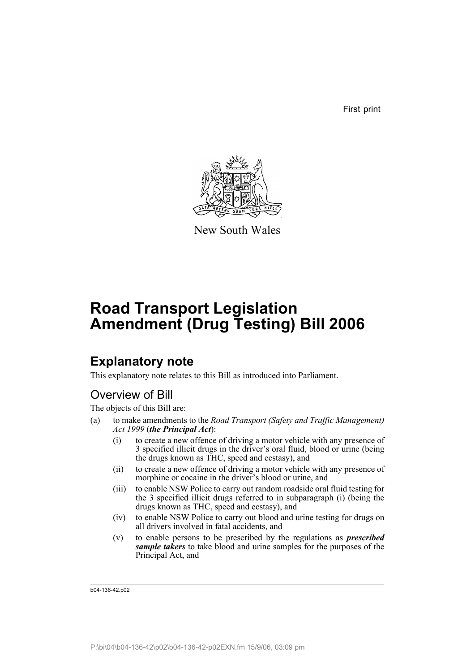First print



New South Wales

# **Road Transport Legislation Amendment (Drug Testing) Bill 2006**

# **Explanatory note**

This explanatory note relates to this Bill as introduced into Parliament.

# Overview of Bill

The objects of this Bill are:

- (a) to make amendments to the *Road Transport (Safety and Traffic Management) Act 1999* (*the Principal Act*):
	- (i) to create a new offence of driving a motor vehicle with any presence of 3 specified illicit drugs in the driver's oral fluid, blood or urine (being the drugs known as THC, speed and ecstasy), and
	- (ii) to create a new offence of driving a motor vehicle with any presence of morphine or cocaine in the driver's blood or urine, and
	- (iii) to enable NSW Police to carry out random roadside oral fluid testing for the 3 specified illicit drugs referred to in subparagraph (i) (being the drugs known as THC, speed and ecstasy), and
	- (iv) to enable NSW Police to carry out blood and urine testing for drugs on all drivers involved in fatal accidents, and
	- (v) to enable persons to be prescribed by the regulations as *prescribed sample takers* to take blood and urine samples for the purposes of the Principal Act, and

b04-136-42.p02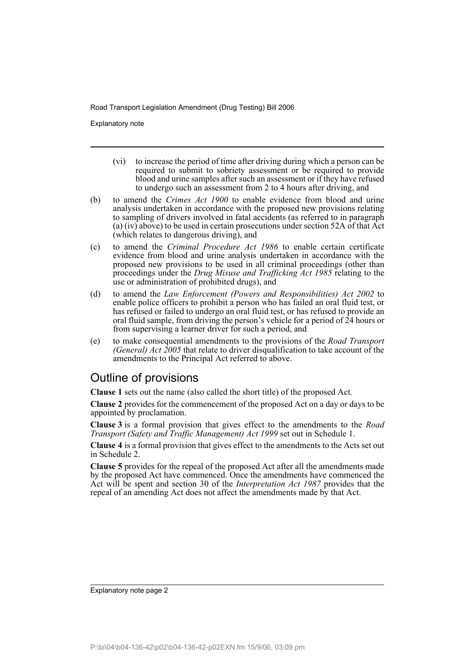Explanatory note

- (vi) to increase the period of time after driving during which a person can be required to submit to sobriety assessment or be required to provide blood and urine samples after such an assessment or if they have refused to undergo such an assessment from 2 to 4 hours after driving, and
- (b) to amend the *Crimes Act 1900* to enable evidence from blood and urine analysis undertaken in accordance with the proposed new provisions relating to sampling of drivers involved in fatal accidents (as referred to in paragraph (a) (iv) above) to be used in certain prosecutions under section 52A of that Act (which relates to dangerous driving), and
- (c) to amend the *Criminal Procedure Act 1986* to enable certain certificate evidence from blood and urine analysis undertaken in accordance with the proposed new provisions to be used in all criminal proceedings (other than proceedings under the *Drug Misuse and Trafficking Act 1985* relating to the use or administration of prohibited drugs), and
- (d) to amend the *Law Enforcement (Powers and Responsibilities) Act 2002* to enable police officers to prohibit a person who has failed an oral fluid test, or has refused or failed to undergo an oral fluid test, or has refused to provide an oral fluid sample, from driving the person's vehicle for a period of 24 hours or from supervising a learner driver for such a period, and
- (e) to make consequential amendments to the provisions of the *Road Transport (General) Act 2005* that relate to driver disqualification to take account of the amendments to the Principal Act referred to above.

# Outline of provisions

**Clause 1** sets out the name (also called the short title) of the proposed Act.

**Clause 2** provides for the commencement of the proposed Act on a day or days to be appointed by proclamation.

**Clause 3** is a formal provision that gives effect to the amendments to the *Road Transport (Safety and Traffic Management) Act 1999* set out in Schedule 1.

**Clause 4** is a formal provision that gives effect to the amendments to the Acts set out in Schedule 2.

**Clause 5** provides for the repeal of the proposed Act after all the amendments made by the proposed Act have commenced. Once the amendments have commenced the Act will be spent and section 30 of the *Interpretation Act 1987* provides that the repeal of an amending Act does not affect the amendments made by that Act.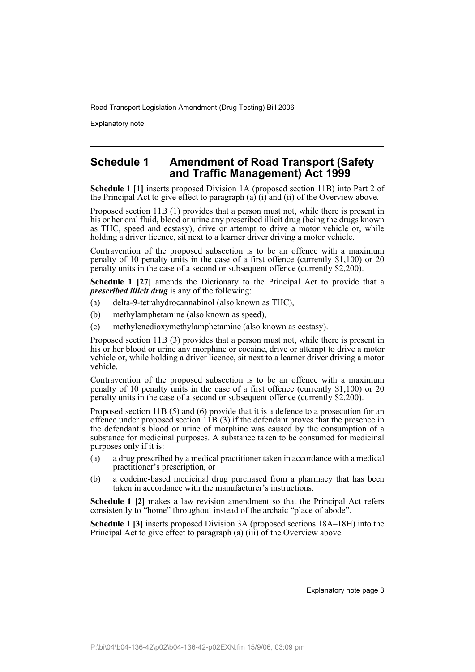Explanatory note

### **Schedule 1 Amendment of Road Transport (Safety and Traffic Management) Act 1999**

**Schedule 1 [1]** inserts proposed Division 1A (proposed section 11B) into Part 2 of the Principal Act to give effect to paragraph (a) (i) and (ii) of the Overview above.

Proposed section 11B (1) provides that a person must not, while there is present in his or her oral fluid, blood or urine any prescribed illicit drug (being the drugs known as THC, speed and ecstasy), drive or attempt to drive a motor vehicle or, while holding a driver licence, sit next to a learner driver driving a motor vehicle.

Contravention of the proposed subsection is to be an offence with a maximum penalty of 10 penalty units in the case of a first offence (currently \$1,100) or 20 penalty units in the case of a second or subsequent offence (currently \$2,200).

**Schedule 1 [27]** amends the Dictionary to the Principal Act to provide that a *prescribed illicit drug* is any of the following:

- (a) delta-9-tetrahydrocannabinol (also known as THC),
- (b) methylamphetamine (also known as speed),
- (c) methylenedioxymethylamphetamine (also known as ecstasy).

Proposed section 11B (3) provides that a person must not, while there is present in his or her blood or urine any morphine or cocaine, drive or attempt to drive a motor vehicle or, while holding a driver licence, sit next to a learner driver driving a motor vehicle.

Contravention of the proposed subsection is to be an offence with a maximum penalty of 10 penalty units in the case of a first offence (currently \$1,100) or 20 penalty units in the case of a second or subsequent offence (currently \$2,200).

Proposed section 11B (5) and (6) provide that it is a defence to a prosecution for an offence under proposed section 11B (3) if the defendant proves that the presence in the defendant's blood or urine of morphine was caused by the consumption of a substance for medicinal purposes. A substance taken to be consumed for medicinal purposes only if it is:

- (a) a drug prescribed by a medical practitioner taken in accordance with a medical practitioner's prescription, or
- (b) a codeine-based medicinal drug purchased from a pharmacy that has been taken in accordance with the manufacturer's instructions.

**Schedule 1 [2]** makes a law revision amendment so that the Principal Act refers consistently to "home" throughout instead of the archaic "place of abode".

**Schedule 1 [3]** inserts proposed Division 3A (proposed sections 18A–18H) into the Principal Act to give effect to paragraph (a) (iii) of the Overview above.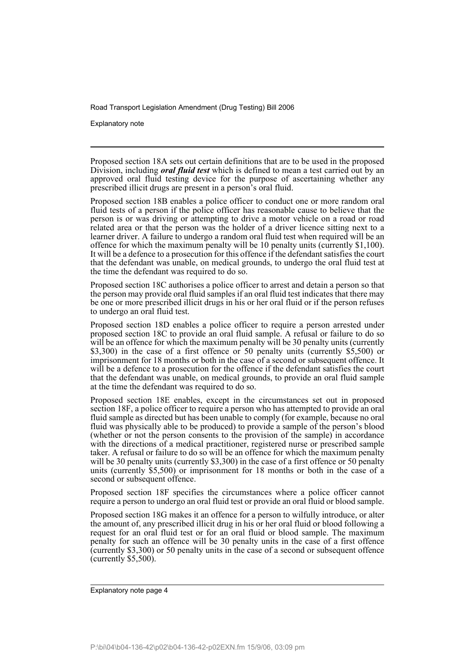Explanatory note

Proposed section 18A sets out certain definitions that are to be used in the proposed Division, including *oral fluid test* which is defined to mean a test carried out by an approved oral fluid testing device for the purpose of ascertaining whether any prescribed illicit drugs are present in a person's oral fluid.

Proposed section 18B enables a police officer to conduct one or more random oral fluid tests of a person if the police officer has reasonable cause to believe that the person is or was driving or attempting to drive a motor vehicle on a road or road related area or that the person was the holder of a driver licence sitting next to a learner driver. A failure to undergo a random oral fluid test when required will be an offence for which the maximum penalty will be 10 penalty units (currently \$1,100). It will be a defence to a prosecution for this offence if the defendant satisfies the court that the defendant was unable, on medical grounds, to undergo the oral fluid test at the time the defendant was required to do so.

Proposed section 18C authorises a police officer to arrest and detain a person so that the person may provide oral fluid samples if an oral fluid test indicates that there may be one or more prescribed illicit drugs in his or her oral fluid or if the person refuses to undergo an oral fluid test.

Proposed section 18D enables a police officer to require a person arrested under proposed section 18C to provide an oral fluid sample. A refusal or failure to do so will be an offence for which the maximum penalty will be 30 penalty units (currently \$3,300) in the case of a first offence or 50 penalty units (currently \$5,500) or imprisonment for 18 months or both in the case of a second or subsequent offence. It will be a defence to a prosecution for the offence if the defendant satisfies the court that the defendant was unable, on medical grounds, to provide an oral fluid sample at the time the defendant was required to do so.

Proposed section 18E enables, except in the circumstances set out in proposed section 18F, a police officer to require a person who has attempted to provide an oral fluid sample as directed but has been unable to comply (for example, because no oral fluid was physically able to be produced) to provide a sample of the person's blood (whether or not the person consents to the provision of the sample) in accordance with the directions of a medical practitioner, registered nurse or prescribed sample taker. A refusal or failure to do so will be an offence for which the maximum penalty will be 30 penalty units (currently \$3,300) in the case of a first offence or 50 penalty units (currently \$5,500) or imprisonment for 18 months or both in the case of a second or subsequent offence.

Proposed section 18F specifies the circumstances where a police officer cannot require a person to undergo an oral fluid test or provide an oral fluid or blood sample.

Proposed section 18G makes it an offence for a person to wilfully introduce, or alter the amount of, any prescribed illicit drug in his or her oral fluid or blood following a request for an oral fluid test or for an oral fluid or blood sample. The maximum penalty for such an offence will be 30 penalty units in the case of a first offence (currently \$3,300) or 50 penalty units in the case of a second or subsequent offence  $($  currently \$5,500 $).$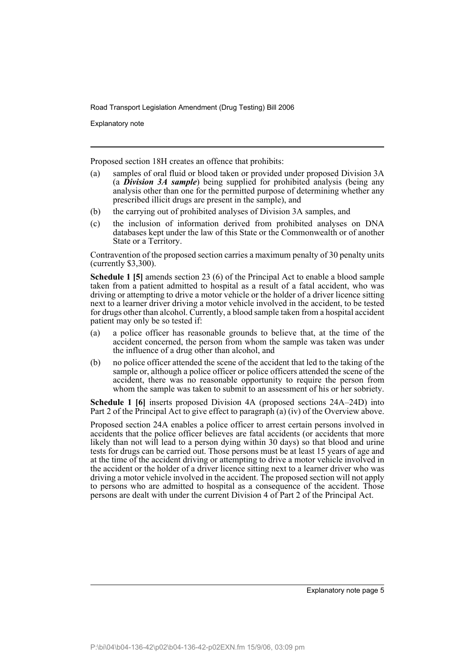Explanatory note

Proposed section 18H creates an offence that prohibits:

- (a) samples of oral fluid or blood taken or provided under proposed Division 3A (a *Division 3A sample*) being supplied for prohibited analysis (being any analysis other than one for the permitted purpose of determining whether any prescribed illicit drugs are present in the sample), and
- (b) the carrying out of prohibited analyses of Division 3A samples, and
- (c) the inclusion of information derived from prohibited analyses on DNA databases kept under the law of this State or the Commonwealth or of another State or a Territory.

Contravention of the proposed section carries a maximum penalty of 30 penalty units (currently \$3,300).

**Schedule 1 [5]** amends section 23 (6) of the Principal Act to enable a blood sample taken from a patient admitted to hospital as a result of a fatal accident, who was driving or attempting to drive a motor vehicle or the holder of a driver licence sitting next to a learner driver driving a motor vehicle involved in the accident, to be tested for drugs other than alcohol. Currently, a blood sample taken from a hospital accident patient may only be so tested if:

- (a) a police officer has reasonable grounds to believe that, at the time of the accident concerned, the person from whom the sample was taken was under the influence of a drug other than alcohol, and
- (b) no police officer attended the scene of the accident that led to the taking of the sample or, although a police officer or police officers attended the scene of the accident, there was no reasonable opportunity to require the person from whom the sample was taken to submit to an assessment of his or her sobriety.

**Schedule 1 [6]** inserts proposed Division 4A (proposed sections 24A–24D) into Part 2 of the Principal Act to give effect to paragraph (a) (iv) of the Overview above.

Proposed section 24A enables a police officer to arrest certain persons involved in accidents that the police officer believes are fatal accidents (or accidents that more likely than not will lead to a person dying within 30 days) so that blood and urine tests for drugs can be carried out. Those persons must be at least 15 years of age and at the time of the accident driving or attempting to drive a motor vehicle involved in the accident or the holder of a driver licence sitting next to a learner driver who was driving a motor vehicle involved in the accident. The proposed section will not apply to persons who are admitted to hospital as a consequence of the accident. Those persons are dealt with under the current Division 4 of Part 2 of the Principal Act.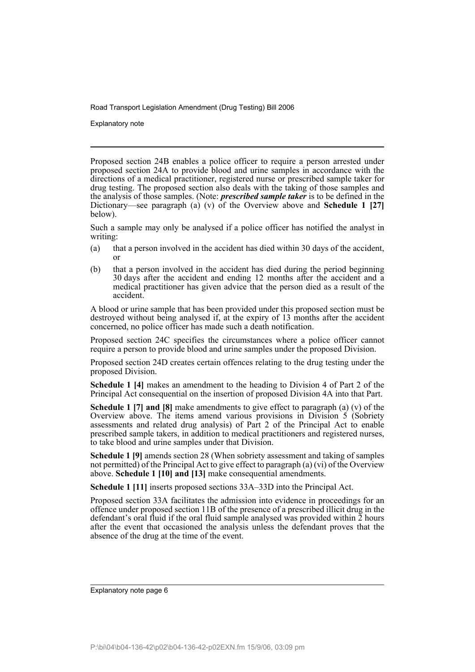Explanatory note

Proposed section 24B enables a police officer to require a person arrested under proposed section 24A to provide blood and urine samples in accordance with the directions of a medical practitioner, registered nurse or prescribed sample taker for drug testing. The proposed section also deals with the taking of those samples and the analysis of those samples. (Note: *prescribed sample taker* is to be defined in the Dictionary—see paragraph (a) (v) of the Overview above and **Schedule 1 [27]** below).

Such a sample may only be analysed if a police officer has notified the analyst in writing:

- (a) that a person involved in the accident has died within 30 days of the accident, or
- (b) that a person involved in the accident has died during the period beginning 30 days after the accident and ending 12 months after the accident and a medical practitioner has given advice that the person died as a result of the accident.

A blood or urine sample that has been provided under this proposed section must be destroyed without being analysed if, at the expiry of 13 months after the accident concerned, no police officer has made such a death notification.

Proposed section 24C specifies the circumstances where a police officer cannot require a person to provide blood and urine samples under the proposed Division.

Proposed section 24D creates certain offences relating to the drug testing under the proposed Division.

**Schedule 1 [4]** makes an amendment to the heading to Division 4 of Part 2 of the Principal Act consequential on the insertion of proposed Division 4A into that Part.

**Schedule 1 [7] and [8]** make amendments to give effect to paragraph (a) (v) of the Overview above. The items amend various provisions in Division 5 (Sobriety assessments and related drug analysis) of Part 2 of the Principal Act to enable prescribed sample takers, in addition to medical practitioners and registered nurses, to take blood and urine samples under that Division.

**Schedule 1 [9]** amends section 28 (When sobriety assessment and taking of samples not permitted) of the Principal Act to give effect to paragraph (a) (vi) of the Overview above. **Schedule 1 [10] and [13]** make consequential amendments.

**Schedule 1 [11]** inserts proposed sections 33A–33D into the Principal Act.

Proposed section 33A facilitates the admission into evidence in proceedings for an offence under proposed section 11B of the presence of a prescribed illicit drug in the defendant's oral fluid if the oral fluid sample analysed was provided within 2 hours after the event that occasioned the analysis unless the defendant proves that the absence of the drug at the time of the event.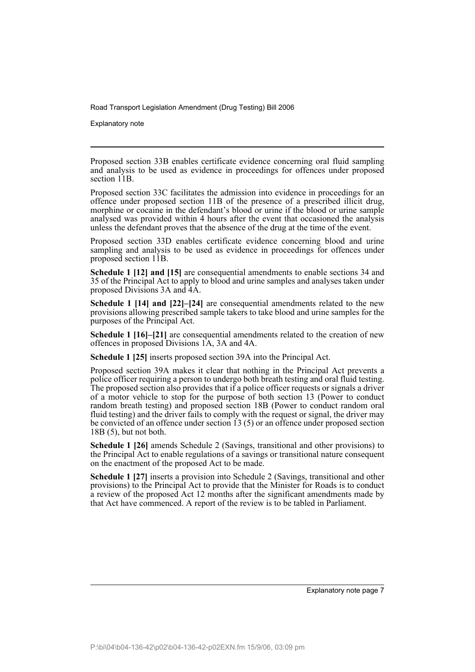Explanatory note

Proposed section 33B enables certificate evidence concerning oral fluid sampling and analysis to be used as evidence in proceedings for offences under proposed section 11B.

Proposed section 33C facilitates the admission into evidence in proceedings for an offence under proposed section 11B of the presence of a prescribed illicit drug, morphine or cocaine in the defendant's blood or urine if the blood or urine sample analysed was provided within 4 hours after the event that occasioned the analysis unless the defendant proves that the absence of the drug at the time of the event.

Proposed section 33D enables certificate evidence concerning blood and urine sampling and analysis to be used as evidence in proceedings for offences under proposed section 11B.

**Schedule 1 [12] and [15]** are consequential amendments to enable sections 34 and 35 of the Principal Act to apply to blood and urine samples and analyses taken under proposed Divisions 3A and 4A.

**Schedule 1 [14] and [22]–[24]** are consequential amendments related to the new provisions allowing prescribed sample takers to take blood and urine samples for the purposes of the Principal Act.

**Schedule 1 [16]–[21]** are consequential amendments related to the creation of new offences in proposed Divisions 1A, 3A and 4A.

**Schedule 1 [25]** inserts proposed section 39A into the Principal Act.

Proposed section 39A makes it clear that nothing in the Principal Act prevents a police officer requiring a person to undergo both breath testing and oral fluid testing. The proposed section also provides that if a police officer requests or signals a driver of a motor vehicle to stop for the purpose of both section 13 (Power to conduct random breath testing) and proposed section 18B (Power to conduct random oral fluid testing) and the driver fails to comply with the request or signal, the driver may be convicted of an offence under section 13 (5) or an offence under proposed section 18B (5), but not both.

**Schedule 1 [26]** amends Schedule 2 (Savings, transitional and other provisions) to the Principal Act to enable regulations of a savings or transitional nature consequent on the enactment of the proposed Act to be made.

**Schedule 1 [27]** inserts a provision into Schedule 2 (Savings, transitional and other provisions) to the Principal Act to provide that the Minister for Roads is to conduct a review of the proposed Act 12 months after the significant amendments made by that Act have commenced. A report of the review is to be tabled in Parliament.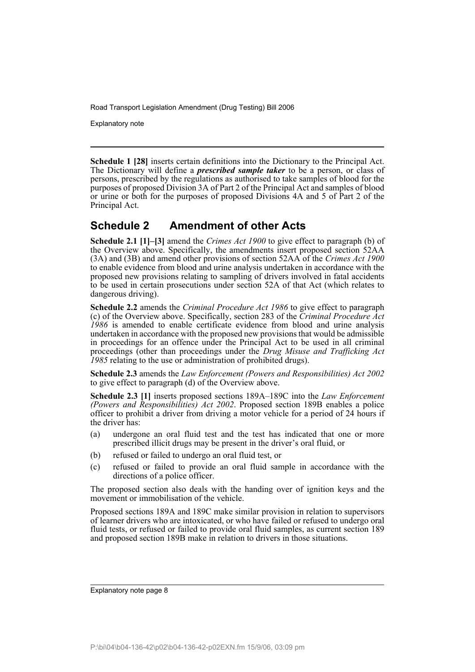Explanatory note

**Schedule 1 [28]** inserts certain definitions into the Dictionary to the Principal Act. The Dictionary will define a *prescribed sample taker* to be a person, or class of persons, prescribed by the regulations as authorised to take samples of blood for the purposes of proposed Division 3A of Part 2 of the Principal Act and samples of blood or urine or both for the purposes of proposed Divisions 4A and 5 of Part 2 of the Principal Act.

## **Schedule 2 Amendment of other Acts**

**Schedule 2.1 [1]–[3]** amend the *Crimes Act 1900* to give effect to paragraph (b) of the Overview above. Specifically, the amendments insert proposed section 52AA (3A) and (3B) and amend other provisions of section 52AA of the *Crimes Act 1900* to enable evidence from blood and urine analysis undertaken in accordance with the proposed new provisions relating to sampling of drivers involved in fatal accidents to be used in certain prosecutions under section 52A of that Act (which relates to dangerous driving).

**Schedule 2.2** amends the *Criminal Procedure Act 1986* to give effect to paragraph (c) of the Overview above. Specifically, section 283 of the *Criminal Procedure Act 1986* is amended to enable certificate evidence from blood and urine analysis undertaken in accordance with the proposed new provisions that would be admissible in proceedings for an offence under the Principal Act to be used in all criminal proceedings (other than proceedings under the *Drug Misuse and Trafficking Act 1985* relating to the use or administration of prohibited drugs).

**Schedule 2.3** amends the *Law Enforcement (Powers and Responsibilities) Act 2002* to give effect to paragraph (d) of the Overview above.

**Schedule 2.3 [1]** inserts proposed sections 189A–189C into the *Law Enforcement (Powers and Responsibilities) Act 2002*. Proposed section 189B enables a police officer to prohibit a driver from driving a motor vehicle for a period of 24 hours if the driver has:

- (a) undergone an oral fluid test and the test has indicated that one or more prescribed illicit drugs may be present in the driver's oral fluid, or
- (b) refused or failed to undergo an oral fluid test, or
- (c) refused or failed to provide an oral fluid sample in accordance with the directions of a police officer.

The proposed section also deals with the handing over of ignition keys and the movement or immobilisation of the vehicle.

Proposed sections 189A and 189C make similar provision in relation to supervisors of learner drivers who are intoxicated, or who have failed or refused to undergo oral fluid tests, or refused or failed to provide oral fluid samples, as current section 189 and proposed section 189B make in relation to drivers in those situations.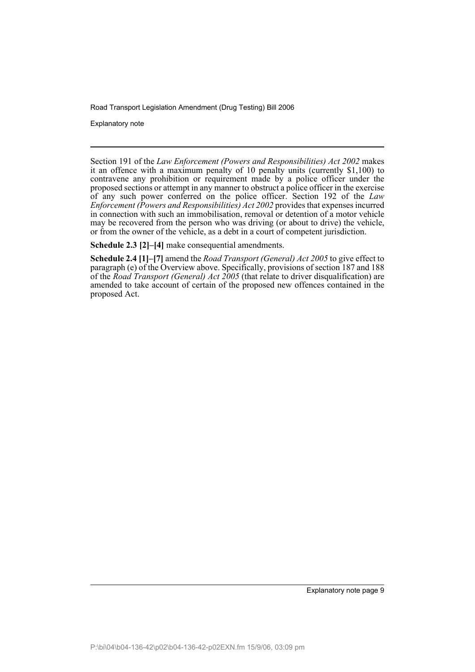Explanatory note

Section 191 of the *Law Enforcement (Powers and Responsibilities) Act 2002* makes it an offence with a maximum penalty of 10 penalty units (currently \$1,100) to contravene any prohibition or requirement made by a police officer under the proposed sections or attempt in any manner to obstruct a police officer in the exercise of any such power conferred on the police officer. Section 192 of the *Law Enforcement (Powers and Responsibilities) Act 2002* provides that expenses incurred in connection with such an immobilisation, removal or detention of a motor vehicle may be recovered from the person who was driving (or about to drive) the vehicle, or from the owner of the vehicle, as a debt in a court of competent jurisdiction.

**Schedule 2.3 [2]–[4]** make consequential amendments.

**Schedule 2.4 [1]–[7]** amend the *Road Transport (General) Act 2005* to give effect to paragraph (e) of the Overview above. Specifically, provisions of section 187 and 188 of the *Road Transport (General) Act 2005* (that relate to driver disqualification) are amended to take account of certain of the proposed new offences contained in the proposed Act.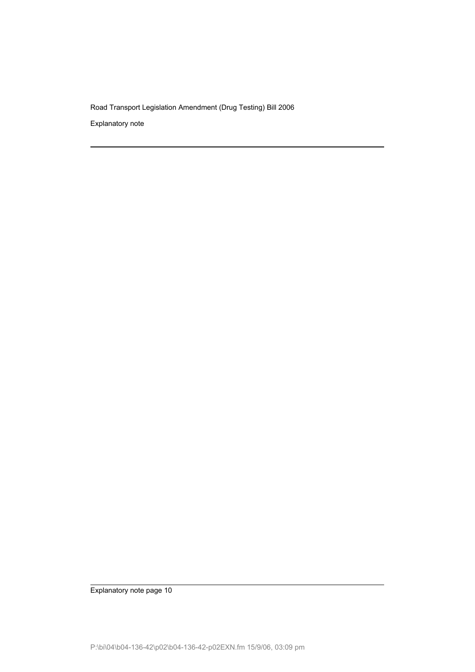Explanatory note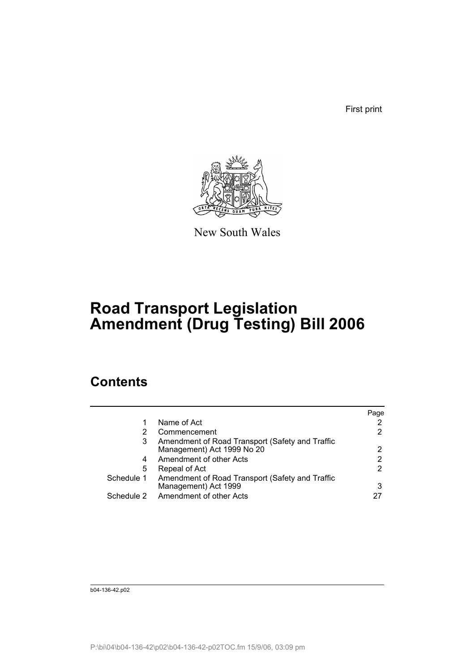First print



New South Wales

# **Road Transport Legislation Amendment (Drug Testing) Bill 2006**

# **Contents**

|            |                                                 | Page |
|------------|-------------------------------------------------|------|
|            | Name of Act                                     |      |
|            | Commencement                                    |      |
| 3          | Amendment of Road Transport (Safety and Traffic |      |
|            | Management) Act 1999 No 20                      |      |
| 4          | Amendment of other Acts                         |      |
| 5          | Repeal of Act                                   |      |
| Schedule 1 | Amendment of Road Transport (Safety and Traffic |      |
|            | Management) Act 1999                            | 3    |
| Schedule 2 | Amendment of other Acts                         |      |

b04-136-42.p02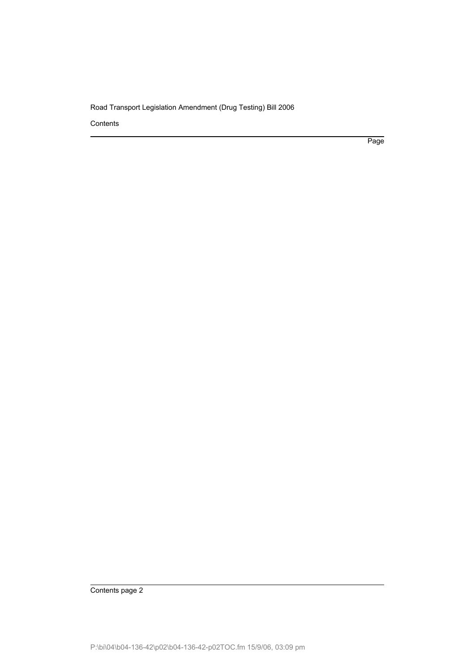Contents

Page

Contents page 2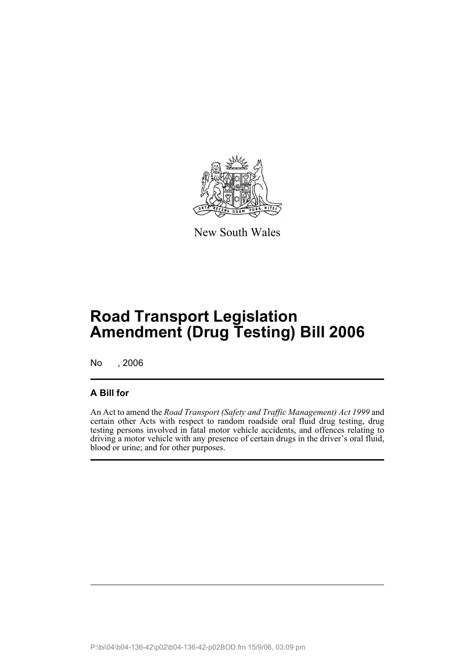

New South Wales

# **Road Transport Legislation Amendment (Drug Testing) Bill 2006**

No , 2006

### **A Bill for**

An Act to amend the *Road Transport (Safety and Traffic Management) Act 1999* and certain other Acts with respect to random roadside oral fluid drug testing, drug testing persons involved in fatal motor vehicle accidents, and offences relating to driving a motor vehicle with any presence of certain drugs in the driver's oral fluid, blood or urine; and for other purposes.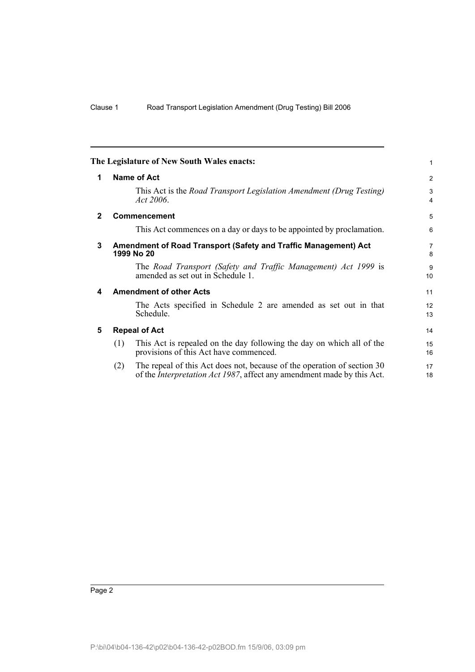<span id="page-13-4"></span><span id="page-13-3"></span><span id="page-13-2"></span><span id="page-13-1"></span><span id="page-13-0"></span>

|                |             | The Legislature of New South Wales enacts:                                                                                                                | 1                            |  |  |  |  |
|----------------|-------------|-----------------------------------------------------------------------------------------------------------------------------------------------------------|------------------------------|--|--|--|--|
| 1              | Name of Act |                                                                                                                                                           |                              |  |  |  |  |
|                |             | This Act is the Road Transport Legislation Amendment (Drug Testing)<br>Act 2006.                                                                          | 3<br>$\overline{\mathbf{4}}$ |  |  |  |  |
| $\overline{2}$ |             | <b>Commencement</b>                                                                                                                                       | 5                            |  |  |  |  |
|                |             | This Act commences on a day or days to be appointed by proclamation.                                                                                      | 6                            |  |  |  |  |
| 3              |             | Amendment of Road Transport (Safety and Traffic Management) Act<br>1999 No 20                                                                             | $\overline{7}$<br>8          |  |  |  |  |
|                |             | The Road Transport (Safety and Traffic Management) Act 1999 is<br>amended as set out in Schedule 1.                                                       | 9<br>10                      |  |  |  |  |
| 4              |             | <b>Amendment of other Acts</b>                                                                                                                            | 11                           |  |  |  |  |
|                |             | The Acts specified in Schedule 2 are amended as set out in that<br>Schedule.                                                                              | 12<br>13                     |  |  |  |  |
| 5              |             | <b>Repeal of Act</b>                                                                                                                                      | 14                           |  |  |  |  |
|                | (1)         | This Act is repealed on the day following the day on which all of the<br>provisions of this Act have commenced.                                           | 15<br>16                     |  |  |  |  |
|                | (2)         | The repeal of this Act does not, because of the operation of section 30<br>of the <i>Interpretation Act 1987</i> , affect any amendment made by this Act. | 17<br>18                     |  |  |  |  |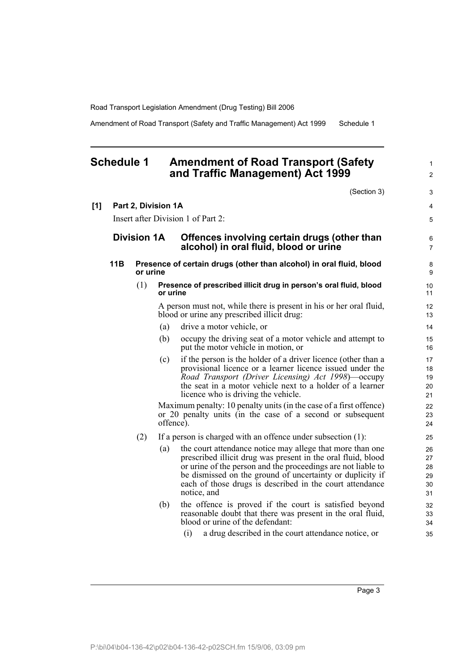Amendment of Road Transport (Safety and Traffic Management) Act 1999 Schedule 1

### <span id="page-14-0"></span>**Schedule 1 Amendment of Road Transport (Safety and Traffic Management) Act 1999**

1 2

|     |     |                     |           | (Section 3)                                                                                                                                                                                                                                                                                                                       | $\mathfrak{S}$                   |
|-----|-----|---------------------|-----------|-----------------------------------------------------------------------------------------------------------------------------------------------------------------------------------------------------------------------------------------------------------------------------------------------------------------------------------|----------------------------------|
| [1] |     | Part 2, Division 1A |           |                                                                                                                                                                                                                                                                                                                                   | 4                                |
|     |     |                     |           | Insert after Division 1 of Part 2:                                                                                                                                                                                                                                                                                                | 5                                |
|     |     | <b>Division 1A</b>  |           | Offences involving certain drugs (other than<br>alcohol) in oral fluid, blood or urine                                                                                                                                                                                                                                            | 6<br>$\overline{7}$              |
|     | 11B | or urine            |           | Presence of certain drugs (other than alcohol) in oral fluid, blood                                                                                                                                                                                                                                                               | 8<br>9                           |
|     |     | (1)                 | or urine  | Presence of prescribed illicit drug in person's oral fluid, blood                                                                                                                                                                                                                                                                 | 10<br>11                         |
|     |     |                     |           | A person must not, while there is present in his or her oral fluid,<br>blood or urine any prescribed illicit drug:                                                                                                                                                                                                                | 12<br>13                         |
|     |     |                     | (a)       | drive a motor vehicle, or                                                                                                                                                                                                                                                                                                         | 14                               |
|     |     |                     | (b)       | occupy the driving seat of a motor vehicle and attempt to<br>put the motor vehicle in motion, or                                                                                                                                                                                                                                  | 15<br>16                         |
|     |     |                     | (c)       | if the person is the holder of a driver licence (other than a<br>provisional licence or a learner licence issued under the<br>Road Transport (Driver Licensing) Act 1998)-occupy<br>the seat in a motor vehicle next to a holder of a learner<br>licence who is driving the vehicle.                                              | 17<br>18<br>19<br>20<br>21       |
|     |     |                     | offence). | Maximum penalty: 10 penalty units (in the case of a first offence)<br>or 20 penalty units (in the case of a second or subsequent                                                                                                                                                                                                  | 22<br>23<br>24                   |
|     |     | (2)                 |           | If a person is charged with an offence under subsection (1):                                                                                                                                                                                                                                                                      | 25                               |
|     |     |                     | (a)       | the court attendance notice may allege that more than one<br>prescribed illicit drug was present in the oral fluid, blood<br>or urine of the person and the proceedings are not liable to<br>be dismissed on the ground of uncertainty or duplicity if<br>each of those drugs is described in the court attendance<br>notice, and | 26<br>27<br>28<br>29<br>30<br>31 |
|     |     |                     | (b)       | the offence is proved if the court is satisfied beyond<br>reasonable doubt that there was present in the oral fluid,<br>blood or urine of the defendant:<br>(i)<br>a drug described in the court attendance notice, or                                                                                                            | 32<br>33<br>34<br>35             |
|     |     |                     |           |                                                                                                                                                                                                                                                                                                                                   |                                  |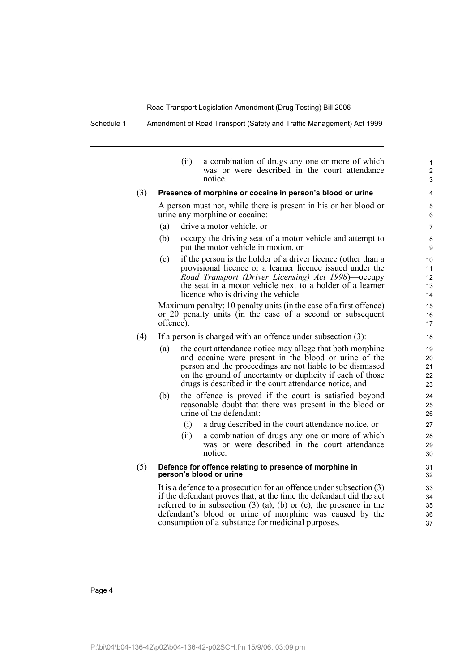Schedule 1 Amendment of Road Transport (Safety and Traffic Management) Act 1999

|     | (ii)<br>notice.                                                                                                                                                                                                                                                                                                                                 | a combination of drugs any one or more of which<br>was or were described in the court attendance                                                                                                                                              | 1<br>2<br>3                |
|-----|-------------------------------------------------------------------------------------------------------------------------------------------------------------------------------------------------------------------------------------------------------------------------------------------------------------------------------------------------|-----------------------------------------------------------------------------------------------------------------------------------------------------------------------------------------------------------------------------------------------|----------------------------|
| (3) | Presence of morphine or cocaine in person's blood or urine                                                                                                                                                                                                                                                                                      |                                                                                                                                                                                                                                               | $\overline{4}$             |
|     | A person must not, while there is present in his or her blood or<br>urine any morphine or cocaine:                                                                                                                                                                                                                                              |                                                                                                                                                                                                                                               | 5<br>6                     |
|     | drive a motor vehicle, or<br>(a)                                                                                                                                                                                                                                                                                                                |                                                                                                                                                                                                                                               | $\overline{7}$             |
|     | (b)<br>put the motor vehicle in motion, or                                                                                                                                                                                                                                                                                                      | occupy the driving seat of a motor vehicle and attempt to                                                                                                                                                                                     | 8<br>9                     |
|     | (c)<br>licence who is driving the vehicle.                                                                                                                                                                                                                                                                                                      | if the person is the holder of a driver licence (other than a<br>provisional licence or a learner licence issued under the<br>Road Transport (Driver Licensing) Act 1998)—occupy<br>the seat in a motor vehicle next to a holder of a learner | 10<br>11<br>12<br>13<br>14 |
|     | Maximum penalty: 10 penalty units (in the case of a first offence)<br>or 20 penalty units (in the case of a second or subsequent<br>offence).                                                                                                                                                                                                   |                                                                                                                                                                                                                                               | 15<br>16<br>17             |
| (4) | If a person is charged with an offence under subsection $(3)$ :                                                                                                                                                                                                                                                                                 |                                                                                                                                                                                                                                               | 18                         |
|     | (a)<br>drugs is described in the court attendance notice, and                                                                                                                                                                                                                                                                                   | the court attendance notice may allege that both morphine<br>and cocaine were present in the blood or urine of the<br>person and the proceedings are not liable to be dismissed<br>on the ground of uncertainty or duplicity if each of those | 19<br>20<br>21<br>22<br>23 |
|     | (b)<br>urine of the defendant:                                                                                                                                                                                                                                                                                                                  | the offence is proved if the court is satisfied beyond<br>reasonable doubt that there was present in the blood or                                                                                                                             | 24<br>25<br>26             |
|     | (i)                                                                                                                                                                                                                                                                                                                                             | a drug described in the court attendance notice, or                                                                                                                                                                                           | 27                         |
|     | (ii)<br>notice.                                                                                                                                                                                                                                                                                                                                 | a combination of drugs any one or more of which<br>was or were described in the court attendance                                                                                                                                              | 28<br>29<br>30             |
| (5) | Defence for offence relating to presence of morphine in<br>person's blood or urine                                                                                                                                                                                                                                                              |                                                                                                                                                                                                                                               | 31<br>32                   |
|     | It is a defence to a prosecution for an offence under subsection $(3)$<br>if the defendant proves that, at the time the defendant did the act<br>referred to in subsection $(3)$ $(a)$ , $(b)$ or $(c)$ , the presence in the<br>defendant's blood or urine of morphine was caused by the<br>consumption of a substance for medicinal purposes. |                                                                                                                                                                                                                                               | 33<br>34<br>35<br>36<br>37 |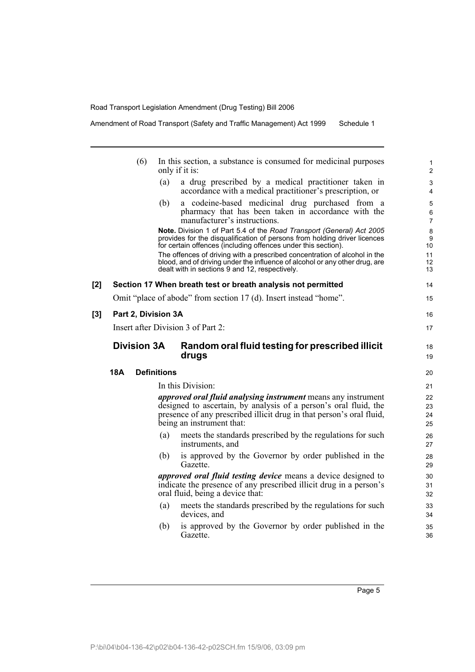Amendment of Road Transport (Safety and Traffic Management) Act 1999 Schedule 1

|     | (6)                 | In this section, a substance is consumed for medicinal purposes<br>only if it is:                                                                                                                                                             | $\mathbf{1}$<br>2        |
|-----|---------------------|-----------------------------------------------------------------------------------------------------------------------------------------------------------------------------------------------------------------------------------------------|--------------------------|
|     |                     | a drug prescribed by a medical practitioner taken in<br>(a)<br>accordance with a medical practitioner's prescription, or                                                                                                                      | 3<br>$\overline{4}$      |
|     |                     | a codeine-based medicinal drug purchased from a<br>(b)<br>pharmacy that has been taken in accordance with the<br>manufacturer's instructions.                                                                                                 | 5<br>6<br>$\overline{7}$ |
|     |                     | Note. Division 1 of Part 5.4 of the Road Transport (General) Act 2005<br>provides for the disqualification of persons from holding driver licences<br>for certain offences (including offences under this section).                           | 8<br>9<br>10             |
|     |                     | The offences of driving with a prescribed concentration of alcohol in the<br>blood, and of driving under the influence of alcohol or any other drug, are<br>dealt with in sections 9 and 12, respectively.                                    | 11<br>12<br>13           |
| [2] |                     | Section 17 When breath test or breath analysis not permitted                                                                                                                                                                                  | 14                       |
|     |                     | Omit "place of abode" from section 17 (d). Insert instead "home".                                                                                                                                                                             | 15                       |
| [3] | Part 2, Division 3A |                                                                                                                                                                                                                                               | 16                       |
|     |                     | Insert after Division 3 of Part 2:                                                                                                                                                                                                            | 17                       |
|     | <b>Division 3A</b>  | Random oral fluid testing for prescribed illicit<br>drugs                                                                                                                                                                                     | 18<br>19                 |
|     |                     |                                                                                                                                                                                                                                               |                          |
|     | 18A                 | <b>Definitions</b>                                                                                                                                                                                                                            | 20                       |
|     |                     | In this Division:                                                                                                                                                                                                                             | 21                       |
|     |                     | <i>approved oral fluid analysing instrument</i> means any instrument<br>designed to ascertain, by analysis of a person's oral fluid, the<br>presence of any prescribed illicit drug in that person's oral fluid,<br>being an instrument that: | 22<br>23<br>24<br>25     |
|     |                     | meets the standards prescribed by the regulations for such<br>(a)<br>instruments, and                                                                                                                                                         | 26<br>27                 |
|     |                     | is approved by the Governor by order published in the<br>(b)<br>Gazette.                                                                                                                                                                      | 28<br>29                 |
|     |                     | <i>approved oral fluid testing device</i> means a device designed to<br>indicate the presence of any prescribed illicit drug in a person's<br>oral fluid, being a device that:                                                                | 30<br>31<br>32           |
|     |                     | meets the standards prescribed by the regulations for such<br>(a)<br>devices, and                                                                                                                                                             | 33<br>34                 |
|     |                     | is approved by the Governor by order published in the<br>(b)<br>Gazette.                                                                                                                                                                      | 35<br>36                 |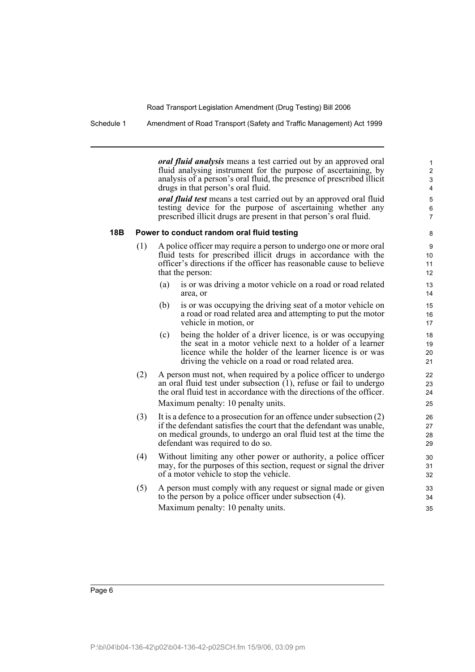Schedule 1 Amendment of Road Transport (Safety and Traffic Management) Act 1999

*oral fluid analysis* means a test carried out by an approved oral fluid analysing instrument for the purpose of ascertaining, by analysis of a person's oral fluid, the presence of prescribed illicit drugs in that person's oral fluid.

*oral fluid test* means a test carried out by an approved oral fluid testing device for the purpose of ascertaining whether any prescribed illicit drugs are present in that person's oral fluid.

#### **18B Power to conduct random oral fluid testing**

- (1) A police officer may require a person to undergo one or more oral fluid tests for prescribed illicit drugs in accordance with the officer's directions if the officer has reasonable cause to believe that the person:
	- (a) is or was driving a motor vehicle on a road or road related area, or
	- (b) is or was occupying the driving seat of a motor vehicle on a road or road related area and attempting to put the motor vehicle in motion, or
	- (c) being the holder of a driver licence, is or was occupying the seat in a motor vehicle next to a holder of a learner licence while the holder of the learner licence is or was driving the vehicle on a road or road related area.
- (2) A person must not, when required by a police officer to undergo an oral fluid test under subsection (1), refuse or fail to undergo the oral fluid test in accordance with the directions of the officer. Maximum penalty: 10 penalty units.
- (3) It is a defence to a prosecution for an offence under subsection (2) if the defendant satisfies the court that the defendant was unable, on medical grounds, to undergo an oral fluid test at the time the defendant was required to do so.
- (4) Without limiting any other power or authority, a police officer may, for the purposes of this section, request or signal the driver of a motor vehicle to stop the vehicle.
- (5) A person must comply with any request or signal made or given to the person by a police officer under subsection (4). Maximum penalty: 10 penalty units.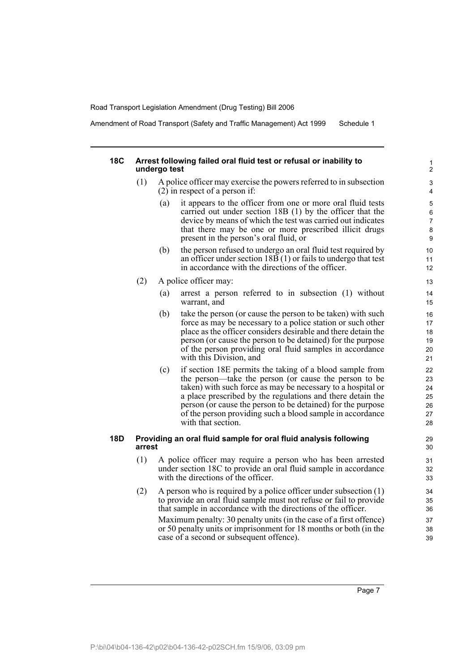Amendment of Road Transport (Safety and Traffic Management) Act 1999 Schedule 1

#### **18C Arrest following failed oral fluid test or refusal or inability to undergo test**

- (1) A police officer may exercise the powers referred to in subsection (2) in respect of a person if:
	- (a) it appears to the officer from one or more oral fluid tests carried out under section 18B (1) by the officer that the device by means of which the test was carried out indicates that there may be one or more prescribed illicit drugs present in the person's oral fluid, or
	- (b) the person refused to undergo an oral fluid test required by an officer under section  $18\overline{B}(1)$  or fails to undergo that test in accordance with the directions of the officer.
- (2) A police officer may:
	- (a) arrest a person referred to in subsection (1) without warrant, and
	- (b) take the person (or cause the person to be taken) with such force as may be necessary to a police station or such other place as the officer considers desirable and there detain the person (or cause the person to be detained) for the purpose of the person providing oral fluid samples in accordance with this Division, and
	- (c) if section 18E permits the taking of a blood sample from the person—take the person (or cause the person to be taken) with such force as may be necessary to a hospital or a place prescribed by the regulations and there detain the person (or cause the person to be detained) for the purpose of the person providing such a blood sample in accordance with that section.

#### **18D Providing an oral fluid sample for oral fluid analysis following arrest**

- (1) A police officer may require a person who has been arrested under section 18C to provide an oral fluid sample in accordance with the directions of the officer.
- (2) A person who is required by a police officer under subsection (1) to provide an oral fluid sample must not refuse or fail to provide that sample in accordance with the directions of the officer. Maximum penalty: 30 penalty units (in the case of a first offence) or 50 penalty units or imprisonment for 18 months or both (in the case of a second or subsequent offence).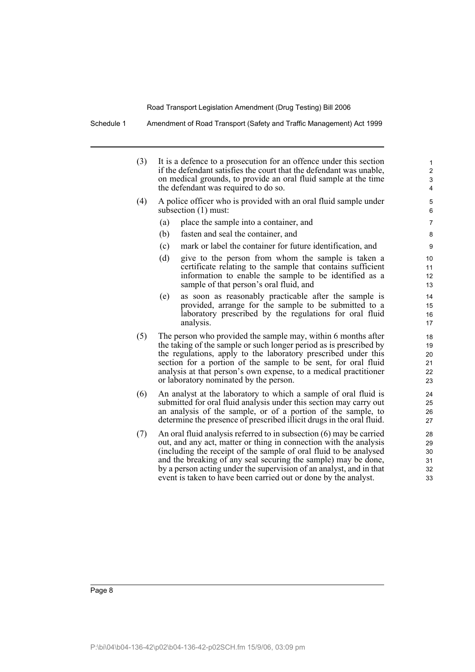Schedule 1 Amendment of Road Transport (Safety and Traffic Management) Act 1999

(3) It is a defence to a prosecution for an offence under this section if the defendant satisfies the court that the defendant was unable, on medical grounds, to provide an oral fluid sample at the time the defendant was required to do so.

- (4) A police officer who is provided with an oral fluid sample under subsection (1) must:
	- (a) place the sample into a container, and
	- (b) fasten and seal the container, and
	- (c) mark or label the container for future identification, and
	- (d) give to the person from whom the sample is taken a certificate relating to the sample that contains sufficient information to enable the sample to be identified as a sample of that person's oral fluid, and
	- (e) as soon as reasonably practicable after the sample is provided, arrange for the sample to be submitted to a laboratory prescribed by the regulations for oral fluid analysis.
- (5) The person who provided the sample may, within 6 months after the taking of the sample or such longer period as is prescribed by the regulations, apply to the laboratory prescribed under this section for a portion of the sample to be sent, for oral fluid analysis at that person's own expense, to a medical practitioner or laboratory nominated by the person.
- (6) An analyst at the laboratory to which a sample of oral fluid is submitted for oral fluid analysis under this section may carry out an analysis of the sample, or of a portion of the sample, to determine the presence of prescribed illicit drugs in the oral fluid.
- (7) An oral fluid analysis referred to in subsection (6) may be carried out, and any act, matter or thing in connection with the analysis (including the receipt of the sample of oral fluid to be analysed and the breaking of any seal securing the sample) may be done, by a person acting under the supervision of an analyst, and in that event is taken to have been carried out or done by the analyst.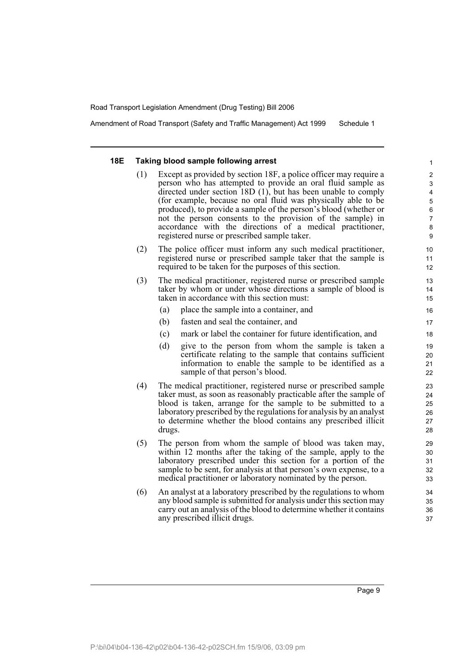Amendment of Road Transport (Safety and Traffic Management) Act 1999 Schedule 1

#### **18E Taking blood sample following arrest**

- (1) Except as provided by section 18F, a police officer may require a person who has attempted to provide an oral fluid sample as directed under section 18D (1), but has been unable to comply (for example, because no oral fluid was physically able to be produced), to provide a sample of the person's blood (whether or not the person consents to the provision of the sample) in accordance with the directions of a medical practitioner, registered nurse or prescribed sample taker.
- (2) The police officer must inform any such medical practitioner, registered nurse or prescribed sample taker that the sample is required to be taken for the purposes of this section.
- (3) The medical practitioner, registered nurse or prescribed sample taker by whom or under whose directions a sample of blood is taken in accordance with this section must:
	- (a) place the sample into a container, and
	- (b) fasten and seal the container, and
	- (c) mark or label the container for future identification, and
	- (d) give to the person from whom the sample is taken a certificate relating to the sample that contains sufficient information to enable the sample to be identified as a sample of that person's blood.
- (4) The medical practitioner, registered nurse or prescribed sample taker must, as soon as reasonably practicable after the sample of blood is taken, arrange for the sample to be submitted to a laboratory prescribed by the regulations for analysis by an analyst to determine whether the blood contains any prescribed illicit drugs.
- (5) The person from whom the sample of blood was taken may, within 12 months after the taking of the sample, apply to the laboratory prescribed under this section for a portion of the sample to be sent, for analysis at that person's own expense, to a medical practitioner or laboratory nominated by the person.
- (6) An analyst at a laboratory prescribed by the regulations to whom any blood sample is submitted for analysis under this section may carry out an analysis of the blood to determine whether it contains any prescribed illicit drugs.

Page 9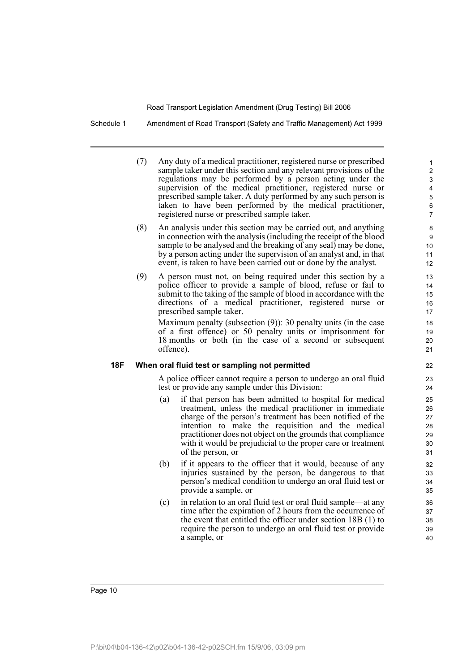Schedule 1 Amendment of Road Transport (Safety and Traffic Management) Act 1999

(7) Any duty of a medical practitioner, registered nurse or prescribed sample taker under this section and any relevant provisions of the regulations may be performed by a person acting under the supervision of the medical practitioner, registered nurse or prescribed sample taker. A duty performed by any such person is taken to have been performed by the medical practitioner, registered nurse or prescribed sample taker.

- (8) An analysis under this section may be carried out, and anything in connection with the analysis (including the receipt of the blood sample to be analysed and the breaking of any seal) may be done, by a person acting under the supervision of an analyst and, in that event, is taken to have been carried out or done by the analyst.
- (9) A person must not, on being required under this section by a police officer to provide a sample of blood, refuse or fail to submit to the taking of the sample of blood in accordance with the directions of a medical practitioner, registered nurse or prescribed sample taker.

Maximum penalty (subsection (9)): 30 penalty units (in the case of a first offence) or 50 penalty units or imprisonment for 18 months or both (in the case of a second or subsequent offence).

#### **18F When oral fluid test or sampling not permitted**

A police officer cannot require a person to undergo an oral fluid test or provide any sample under this Division:

- (a) if that person has been admitted to hospital for medical treatment, unless the medical practitioner in immediate charge of the person's treatment has been notified of the intention to make the requisition and the medical practitioner does not object on the grounds that compliance with it would be prejudicial to the proper care or treatment of the person, or
- (b) if it appears to the officer that it would, because of any injuries sustained by the person, be dangerous to that person's medical condition to undergo an oral fluid test or provide a sample, or
- (c) in relation to an oral fluid test or oral fluid sample—at any time after the expiration of 2 hours from the occurrence of the event that entitled the officer under section 18B (1) to require the person to undergo an oral fluid test or provide a sample, or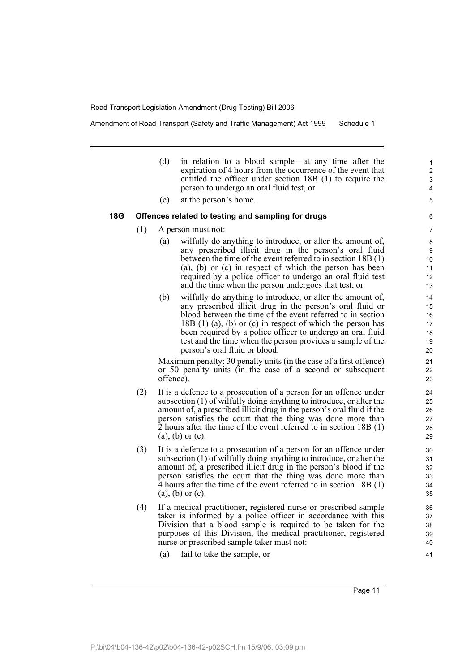Amendment of Road Transport (Safety and Traffic Management) Act 1999 Schedule 1

- (d) in relation to a blood sample—at any time after the expiration of 4 hours from the occurrence of the event that entitled the officer under section 18B (1) to require the person to undergo an oral fluid test, or
- (e) at the person's home.

#### **18G Offences related to testing and sampling for drugs**

- (1) A person must not:
	- (a) wilfully do anything to introduce, or alter the amount of, any prescribed illicit drug in the person's oral fluid between the time of the event referred to in section 18B (1) (a), (b) or (c) in respect of which the person has been required by a police officer to undergo an oral fluid test and the time when the person undergoes that test, or
	- (b) wilfully do anything to introduce, or alter the amount of, any prescribed illicit drug in the person's oral fluid or blood between the time of the event referred to in section 18B (1) (a), (b) or (c) in respect of which the person has been required by a police officer to undergo an oral fluid test and the time when the person provides a sample of the person's oral fluid or blood.

Maximum penalty: 30 penalty units (in the case of a first offence) or 50 penalty units (in the case of a second or subsequent offence).

- (2) It is a defence to a prosecution of a person for an offence under subsection (1) of wilfully doing anything to introduce, or alter the amount of, a prescribed illicit drug in the person's oral fluid if the person satisfies the court that the thing was done more than 2 hours after the time of the event referred to in section 18B (1) (a), (b) or (c).
- (3) It is a defence to a prosecution of a person for an offence under subsection (1) of wilfully doing anything to introduce, or alter the amount of, a prescribed illicit drug in the person's blood if the person satisfies the court that the thing was done more than 4 hours after the time of the event referred to in section 18B (1) (a), (b) or (c).
- (4) If a medical practitioner, registered nurse or prescribed sample taker is informed by a police officer in accordance with this Division that a blood sample is required to be taken for the purposes of this Division, the medical practitioner, registered nurse or prescribed sample taker must not:
	- (a) fail to take the sample, or

Page 11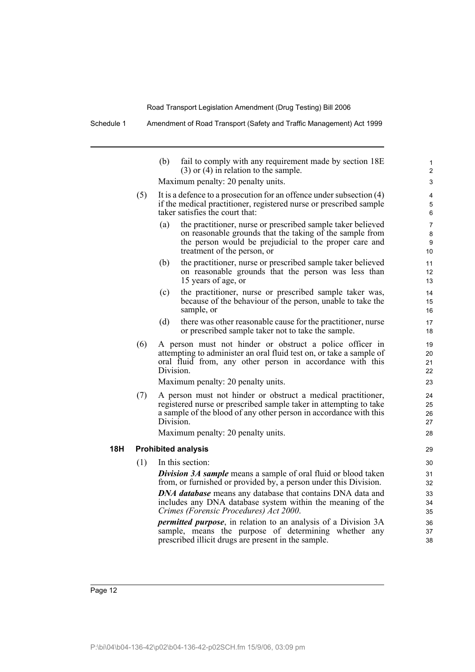Schedule 1 Amendment of Road Transport (Safety and Traffic Management) Act 1999

|     | (b)       | fail to comply with any requirement made by section 18E<br>$(3)$ or $(4)$ in relation to the sample.                                                                                                                                         | 1<br>$\overline{2}$            |
|-----|-----------|----------------------------------------------------------------------------------------------------------------------------------------------------------------------------------------------------------------------------------------------|--------------------------------|
|     |           | Maximum penalty: 20 penalty units.                                                                                                                                                                                                           | 3                              |
| (5) |           | It is a defence to a prosecution for an offence under subsection $(4)$<br>if the medical practitioner, registered nurse or prescribed sample<br>taker satisfies the court that:                                                              | 4<br>5<br>6                    |
|     | (a)       | the practitioner, nurse or prescribed sample taker believed<br>on reasonable grounds that the taking of the sample from<br>the person would be prejudicial to the proper care and<br>treatment of the person, or                             | $\overline{7}$<br>8<br>9<br>10 |
|     | (b)       | the practitioner, nurse or prescribed sample taker believed<br>on reasonable grounds that the person was less than<br>15 years of age, or                                                                                                    | 11<br>12<br>13                 |
|     | (c)       | the practitioner, nurse or prescribed sample taker was,<br>because of the behaviour of the person, unable to take the<br>sample, or                                                                                                          | 14<br>15<br>16                 |
|     | (d)       | there was other reasonable cause for the practitioner, nurse<br>or prescribed sample taker not to take the sample.                                                                                                                           | 17<br>18                       |
| (6) | Division. | A person must not hinder or obstruct a police officer in<br>attempting to administer an oral fluid test on, or take a sample of<br>oral fluid from, any other person in accordance with this                                                 | 19<br>20<br>21<br>22           |
|     |           | Maximum penalty: 20 penalty units.                                                                                                                                                                                                           | 23                             |
| (7) | Division. | A person must not hinder or obstruct a medical practitioner,<br>registered nurse or prescribed sample taker in attempting to take<br>a sample of the blood of any other person in accordance with this<br>Maximum penalty: 20 penalty units. | 24<br>25<br>26<br>27<br>28     |
|     |           | <b>Prohibited analysis</b>                                                                                                                                                                                                                   | 29                             |
| (1) |           | In this section:                                                                                                                                                                                                                             | 30                             |
|     |           | <b>Division 3A sample</b> means a sample of oral fluid or blood taken<br>from, or furnished or provided by, a person under this Division.                                                                                                    | 31<br>32                       |
|     |           | <b>DNA</b> database means any database that contains DNA data and<br>includes any DNA database system within the meaning of the<br>Crimes (Forensic Procedures) Act 2000.                                                                    | 33<br>34<br>35                 |
|     |           | <i>permitted purpose</i> , in relation to an analysis of a Division 3A<br>sample, means the purpose of determining whether any<br>prescribed illicit drugs are present in the sample.                                                        | 36<br>37<br>38                 |

**18H Prohibited analysis**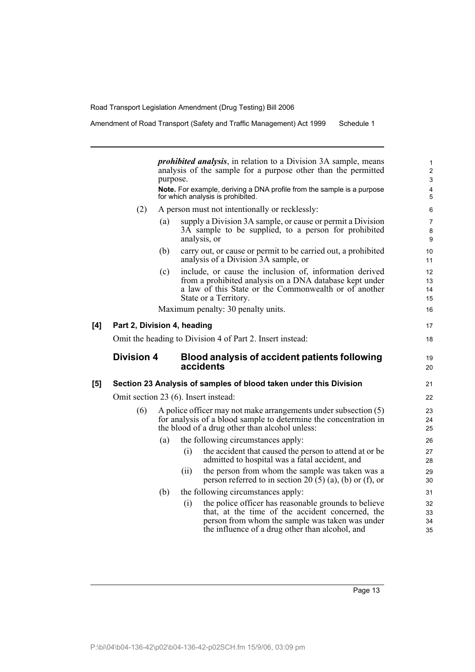Amendment of Road Transport (Safety and Traffic Management) Act 1999 Schedule 1

*prohibited analysis*, in relation to a Division 3A sample, means analysis of the sample for a purpose other than the permitted purpose. **Note.** For example, deriving a DNA profile from the sample is a purpose for which analysis is prohibited. (2) A person must not intentionally or recklessly: (a) supply a Division 3A sample, or cause or permit a Division 3A sample to be supplied, to a person for prohibited analysis, or (b) carry out, or cause or permit to be carried out, a prohibited analysis of a Division 3A sample, or (c) include, or cause the inclusion of, information derived from a prohibited analysis on a DNA database kept under a law of this State or the Commonwealth or of another State or a Territory. Maximum penalty: 30 penalty units. **[4] Part 2, Division 4, heading** Omit the heading to Division 4 of Part 2. Insert instead: **Division 4 Blood analysis of accident patients following accidents [5] Section 23 Analysis of samples of blood taken under this Division** Omit section 23 (6). Insert instead: (6) A police officer may not make arrangements under subsection (5) for analysis of a blood sample to determine the concentration in the blood of a drug other than alcohol unless: (a) the following circumstances apply: (i) the accident that caused the person to attend at or be admitted to hospital was a fatal accident, and (ii) the person from whom the sample was taken was a person referred to in section 20  $(5)$  (a), (b) or (f), or (b) the following circumstances apply: (i) the police officer has reasonable grounds to believe 1 2 3 4 5 6 7 8 9 10 11 12 13 14 15 16 17 18 19  $20$ 21 22  $23$ 24 25 26 27 28  $29$ 30 31 32 33

that, at the time of the accident concerned, the person from whom the sample was taken was under the influence of a drug other than alcohol, and

Page 13

34 35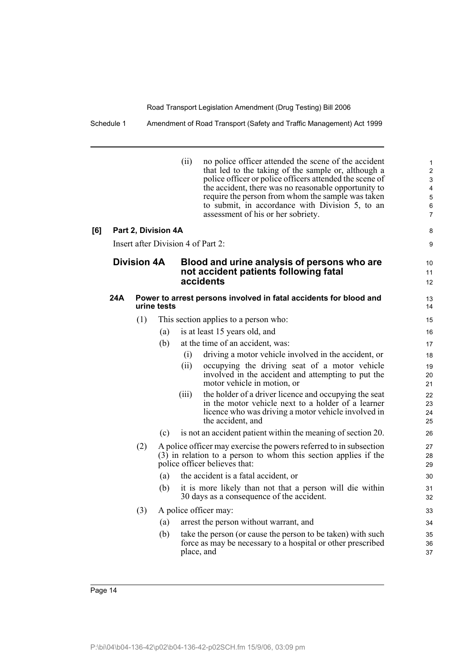|     |     |                    |                     | (ii)  | no police officer attended the scene of the accident<br>that led to the taking of the sample or, although a<br>police officer or police officers attended the scene of<br>the accident, there was no reasonable opportunity to<br>require the person from whom the sample was taken<br>to submit, in accordance with Division 5, to an<br>assessment of his or her sobriety. | $\mathbf{1}$<br>$\overline{c}$<br>$\ensuremath{\mathsf{3}}$<br>4<br>5<br>$\,6$<br>$\overline{7}$ |
|-----|-----|--------------------|---------------------|-------|------------------------------------------------------------------------------------------------------------------------------------------------------------------------------------------------------------------------------------------------------------------------------------------------------------------------------------------------------------------------------|--------------------------------------------------------------------------------------------------|
| [6] |     |                    | Part 2, Division 4A |       |                                                                                                                                                                                                                                                                                                                                                                              | 8                                                                                                |
|     |     |                    |                     |       | Insert after Division 4 of Part 2:                                                                                                                                                                                                                                                                                                                                           | 9                                                                                                |
|     |     | <b>Division 4A</b> |                     |       | Blood and urine analysis of persons who are<br>not accident patients following fatal<br>accidents                                                                                                                                                                                                                                                                            | 10<br>11<br>12                                                                                   |
|     | 24A |                    | urine tests         |       | Power to arrest persons involved in fatal accidents for blood and                                                                                                                                                                                                                                                                                                            | 13<br>14                                                                                         |
|     |     | (1)                |                     |       | This section applies to a person who:                                                                                                                                                                                                                                                                                                                                        | 15                                                                                               |
|     |     |                    | (a)                 |       | is at least 15 years old, and                                                                                                                                                                                                                                                                                                                                                | 16                                                                                               |
|     |     |                    | (b)                 |       | at the time of an accident, was:                                                                                                                                                                                                                                                                                                                                             | 17                                                                                               |
|     |     |                    |                     | (i)   | driving a motor vehicle involved in the accident, or                                                                                                                                                                                                                                                                                                                         | 18                                                                                               |
|     |     |                    |                     | (ii)  | occupying the driving seat of a motor vehicle<br>involved in the accident and attempting to put the<br>motor vehicle in motion, or                                                                                                                                                                                                                                           | 19<br>20<br>21                                                                                   |
|     |     |                    |                     | (111) | the holder of a driver licence and occupying the seat<br>in the motor vehicle next to a holder of a learner<br>licence who was driving a motor vehicle involved in<br>the accident, and                                                                                                                                                                                      | 22<br>23<br>24<br>25                                                                             |
|     |     |                    | (c)                 |       | is not an accident patient within the meaning of section 20.                                                                                                                                                                                                                                                                                                                 | 26                                                                                               |
|     |     | (2)                |                     |       | A police officer may exercise the powers referred to in subsection<br>(3) in relation to a person to whom this section applies if the<br>police officer believes that:                                                                                                                                                                                                       | 27<br>28<br>29                                                                                   |
|     |     |                    | (a)                 |       | the accident is a fatal accident, or                                                                                                                                                                                                                                                                                                                                         | 30                                                                                               |
|     |     |                    |                     |       | (b) it is more likely than not that a person will die within<br>30 days as a consequence of the accident.                                                                                                                                                                                                                                                                    | 31<br>32                                                                                         |
|     |     | (3)                |                     |       | A police officer may:                                                                                                                                                                                                                                                                                                                                                        | 33                                                                                               |
|     |     |                    | (a)                 |       | arrest the person without warrant, and                                                                                                                                                                                                                                                                                                                                       | 34                                                                                               |
|     |     |                    | (b)                 |       | take the person (or cause the person to be taken) with such<br>force as may be necessary to a hospital or other prescribed<br>place, and                                                                                                                                                                                                                                     | 35<br>36<br>37                                                                                   |

Schedule 1 Amendment of Road Transport (Safety and Traffic Management) Act 1999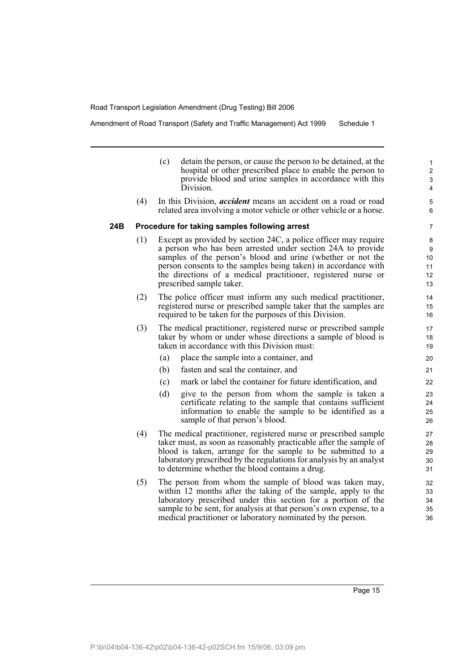Amendment of Road Transport (Safety and Traffic Management) Act 1999 Schedule 1

- (c) detain the person, or cause the person to be detained, at the hospital or other prescribed place to enable the person to provide blood and urine samples in accordance with this Division.
- (4) In this Division, *accident* means an accident on a road or road related area involving a motor vehicle or other vehicle or a horse.

#### **24B Procedure for taking samples following arrest**

- (1) Except as provided by section 24C, a police officer may require a person who has been arrested under section 24A to provide samples of the person's blood and urine (whether or not the person consents to the samples being taken) in accordance with the directions of a medical practitioner, registered nurse or prescribed sample taker.
- (2) The police officer must inform any such medical practitioner, registered nurse or prescribed sample taker that the samples are required to be taken for the purposes of this Division.
- (3) The medical practitioner, registered nurse or prescribed sample taker by whom or under whose directions a sample of blood is taken in accordance with this Division must:
	- (a) place the sample into a container, and
	- (b) fasten and seal the container, and
	- (c) mark or label the container for future identification, and
	- (d) give to the person from whom the sample is taken a certificate relating to the sample that contains sufficient information to enable the sample to be identified as a sample of that person's blood.
- (4) The medical practitioner, registered nurse or prescribed sample taker must, as soon as reasonably practicable after the sample of blood is taken, arrange for the sample to be submitted to a laboratory prescribed by the regulations for analysis by an analyst to determine whether the blood contains a drug.
- (5) The person from whom the sample of blood was taken may, within 12 months after the taking of the sample, apply to the laboratory prescribed under this section for a portion of the sample to be sent, for analysis at that person's own expense, to a medical practitioner or laboratory nominated by the person.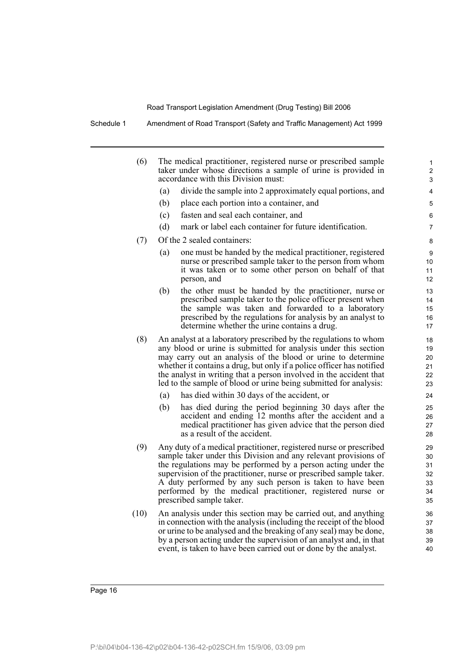Schedule 1 Amendment of Road Transport (Safety and Traffic Management) Act 1999

(6) The medical practitioner, registered nurse or prescribed sample taker under whose directions a sample of urine is provided in accordance with this Division must: (a) divide the sample into 2 approximately equal portions, and (b) place each portion into a container, and (c) fasten and seal each container, and (d) mark or label each container for future identification. (7) Of the 2 sealed containers: (a) one must be handed by the medical practitioner, registered nurse or prescribed sample taker to the person from whom it was taken or to some other person on behalf of that person, and (b) the other must be handed by the practitioner, nurse or prescribed sample taker to the police officer present when the sample was taken and forwarded to a laboratory prescribed by the regulations for analysis by an analyst to determine whether the urine contains a drug. (8) An analyst at a laboratory prescribed by the regulations to whom any blood or urine is submitted for analysis under this section may carry out an analysis of the blood or urine to determine whether it contains a drug, but only if a police officer has notified the analyst in writing that a person involved in the accident that led to the sample of blood or urine being submitted for analysis: (a) has died within 30 days of the accident, or (b) has died during the period beginning 30 days after the accident and ending 12 months after the accident and a medical practitioner has given advice that the person died as a result of the accident. (9) Any duty of a medical practitioner, registered nurse or prescribed sample taker under this Division and any relevant provisions of the regulations may be performed by a person acting under the supervision of the practitioner, nurse or prescribed sample taker. A duty performed by any such person is taken to have been performed by the medical practitioner, registered nurse or prescribed sample taker. (10) An analysis under this section may be carried out, and anything in connection with the analysis (including the receipt of the blood or urine to be analysed and the breaking of any seal) may be done, by a person acting under the supervision of an analyst and, in that event, is taken to have been carried out or done by the analyst. 1  $\overline{2}$ 3 4 5 6 7 8 9 10 11 12 13 14 15 16 17 18 19  $20$ 21  $22$ 23  $24$ 25 26 27 28 29 30 31 32 33 34 35 36 37 38 39 40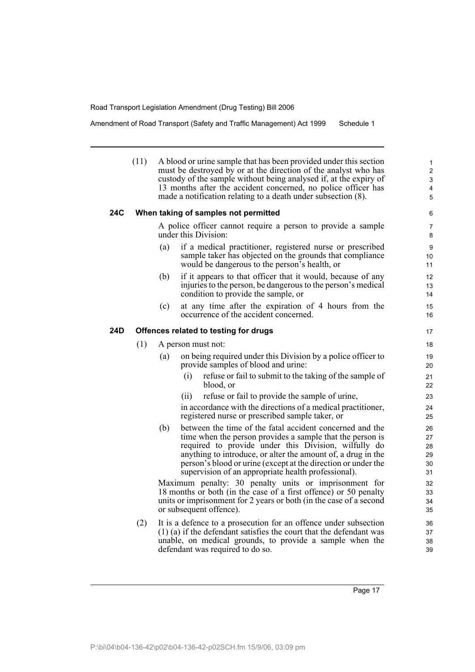Amendment of Road Transport (Safety and Traffic Management) Act 1999 Schedule 1

|     | (11) | A blood or urine sample that has been provided under this section<br>must be destroyed by or at the direction of the analyst who has<br>custody of the sample without being analysed if, at the expiry of<br>13 months after the accident concerned, no police officer has<br>made a notification relating to a death under subsection (8).                                  | $\mathbf{1}$<br>$\overline{2}$<br>3<br>4<br>5 |
|-----|------|------------------------------------------------------------------------------------------------------------------------------------------------------------------------------------------------------------------------------------------------------------------------------------------------------------------------------------------------------------------------------|-----------------------------------------------|
| 24C |      | When taking of samples not permitted                                                                                                                                                                                                                                                                                                                                         | 6                                             |
|     |      | A police officer cannot require a person to provide a sample<br>under this Division:                                                                                                                                                                                                                                                                                         | 7<br>8                                        |
|     |      | if a medical practitioner, registered nurse or prescribed<br>(a)<br>sample taker has objected on the grounds that compliance<br>would be dangerous to the person's health, or                                                                                                                                                                                                | 9<br>10<br>11                                 |
|     |      | if it appears to that officer that it would, because of any<br>(b)<br>injuries to the person, be dangerous to the person's medical<br>condition to provide the sample, or                                                                                                                                                                                                    | 12<br>13<br>14                                |
|     |      | at any time after the expiration of 4 hours from the<br>(c)<br>occurrence of the accident concerned.                                                                                                                                                                                                                                                                         | 15<br>16                                      |
| 24D |      | Offences related to testing for drugs                                                                                                                                                                                                                                                                                                                                        | 17                                            |
|     | (1)  | A person must not:                                                                                                                                                                                                                                                                                                                                                           | 18                                            |
|     |      | on being required under this Division by a police officer to<br>(a)                                                                                                                                                                                                                                                                                                          | 19                                            |
|     |      | provide samples of blood and urine:                                                                                                                                                                                                                                                                                                                                          | 20                                            |
|     |      | (i)<br>refuse or fail to submit to the taking of the sample of<br>blood, or                                                                                                                                                                                                                                                                                                  | 21<br>22                                      |
|     |      | refuse or fail to provide the sample of urine,<br>(11)                                                                                                                                                                                                                                                                                                                       | 23                                            |
|     |      | in accordance with the directions of a medical practitioner,<br>registered nurse or prescribed sample taker, or                                                                                                                                                                                                                                                              | 24<br>25                                      |
|     |      | between the time of the fatal accident concerned and the<br>(b)<br>time when the person provides a sample that the person is<br>required to provide under this Division, wilfully do<br>anything to introduce, or alter the amount of, a drug in the<br>person's blood or urine (except at the direction or under the<br>supervision of an appropriate health professional). | 26<br>27<br>28<br>29<br>30<br>31              |
|     |      | Maximum penalty: 30 penalty units or imprisonment for<br>18 months or both (in the case of a first offence) or 50 penalty<br>units or imprisonment for 2 years or both (in the case of a second<br>or subsequent offence).                                                                                                                                                   | 32<br>33<br>34<br>35                          |
|     | (2)  | It is a defence to a prosecution for an offence under subsection<br>$(1)$ (a) if the defendant satisfies the court that the defendant was<br>unable, on medical grounds, to provide a sample when the<br>defendant was required to do so.                                                                                                                                    | 36<br>37<br>38<br>39                          |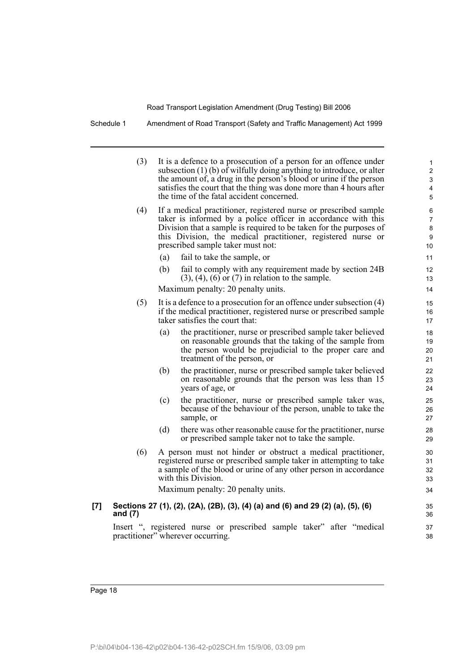Schedule 1 Amendment of Road Transport (Safety and Traffic Management) Act 1999

(3) It is a defence to a prosecution of a person for an offence under subsection  $(1)$  (b) of wilfully doing anything to introduce, or alter the amount of, a drug in the person's blood or urine if the person satisfies the court that the thing was done more than 4 hours after the time of the fatal accident concerned. (4) If a medical practitioner, registered nurse or prescribed sample taker is informed by a police officer in accordance with this Division that a sample is required to be taken for the purposes of this Division, the medical practitioner, registered nurse or prescribed sample taker must not: (a) fail to take the sample, or (b) fail to comply with any requirement made by section 24B  $(3)$ ,  $(4)$ ,  $(6)$  or  $(7)$  in relation to the sample. Maximum penalty: 20 penalty units. (5) It is a defence to a prosecution for an offence under subsection (4) if the medical practitioner, registered nurse or prescribed sample taker satisfies the court that: (a) the practitioner, nurse or prescribed sample taker believed on reasonable grounds that the taking of the sample from the person would be prejudicial to the proper care and treatment of the person, or (b) the practitioner, nurse or prescribed sample taker believed on reasonable grounds that the person was less than 15 years of age, or (c) the practitioner, nurse or prescribed sample taker was, because of the behaviour of the person, unable to take the sample, or (d) there was other reasonable cause for the practitioner, nurse or prescribed sample taker not to take the sample. (6) A person must not hinder or obstruct a medical practitioner, registered nurse or prescribed sample taker in attempting to take a sample of the blood or urine of any other person in accordance with this Division. Maximum penalty: 20 penalty units. **[7] Sections 27 (1), (2), (2A), (2B), (3), (4) (a) and (6) and 29 (2) (a), (5), (6) and (7)**  Insert ", registered nurse or prescribed sample taker" after "medical practitioner" wherever occurring. 1 2 3 4 5 6 7 8 9 10 11 12 13 14 15 16 17 18 19 20 21 22 23  $24$ 25 26 27 28 29 30 31 32 33 34 35 36 37 38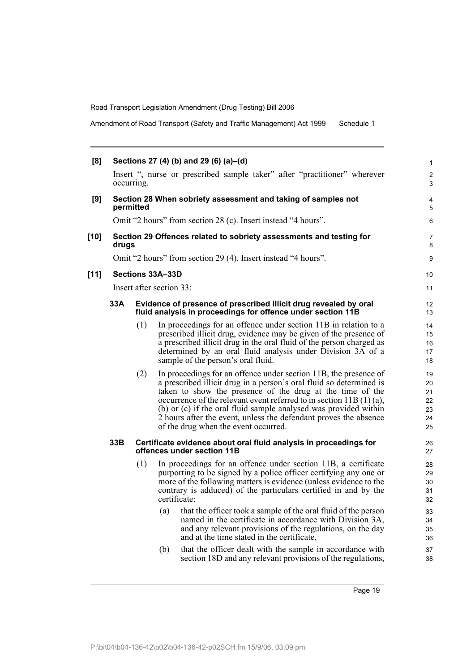Amendment of Road Transport (Safety and Traffic Management) Act 1999 Schedule 1

| [8]    |                                                                              |                          |     | Sections 27 (4) (b) and 29 (6) (a)-(d)                                                                                                                                                                                                                                                                                                                                                                                                                        | 1                                      |
|--------|------------------------------------------------------------------------------|--------------------------|-----|---------------------------------------------------------------------------------------------------------------------------------------------------------------------------------------------------------------------------------------------------------------------------------------------------------------------------------------------------------------------------------------------------------------------------------------------------------------|----------------------------------------|
|        |                                                                              | occurring.               |     | Insert ", nurse or prescribed sample taker" after "practitioner" wherever                                                                                                                                                                                                                                                                                                                                                                                     | $\overline{c}$<br>3                    |
| [9]    |                                                                              | permitted                |     | Section 28 When sobriety assessment and taking of samples not                                                                                                                                                                                                                                                                                                                                                                                                 | 4<br>5                                 |
|        |                                                                              |                          |     | Omit "2 hours" from section 28 (c). Insert instead "4 hours".                                                                                                                                                                                                                                                                                                                                                                                                 | 6                                      |
| $[10]$ | Section 29 Offences related to sobriety assessments and testing for<br>drugs |                          |     |                                                                                                                                                                                                                                                                                                                                                                                                                                                               |                                        |
|        |                                                                              |                          |     | Omit "2 hours" from section 29 (4). Insert instead "4 hours".                                                                                                                                                                                                                                                                                                                                                                                                 | 9                                      |
| $[11]$ |                                                                              | <b>Sections 33A–33D</b>  |     |                                                                                                                                                                                                                                                                                                                                                                                                                                                               | 10                                     |
|        |                                                                              | Insert after section 33: |     |                                                                                                                                                                                                                                                                                                                                                                                                                                                               | 11                                     |
|        | 33A                                                                          |                          |     | Evidence of presence of prescribed illicit drug revealed by oral<br>fluid analysis in proceedings for offence under section 11B                                                                                                                                                                                                                                                                                                                               | 12<br>13                               |
|        |                                                                              | (1)                      |     | In proceedings for an offence under section 11B in relation to a<br>prescribed illicit drug, evidence may be given of the presence of<br>a prescribed illicit drug in the oral fluid of the person charged as<br>determined by an oral fluid analysis under Division 3A of a<br>sample of the person's oral fluid.                                                                                                                                            | 14<br>15<br>16<br>17<br>18             |
|        |                                                                              | (2)                      |     | In proceedings for an offence under section 11B, the presence of<br>a prescribed illicit drug in a person's oral fluid so determined is<br>taken to show the presence of the drug at the time of the<br>occurrence of the relevant event referred to in section $11B(1)(a)$ ,<br>(b) or (c) if the oral fluid sample analysed was provided within<br>2 hours after the event, unless the defendant proves the absence<br>of the drug when the event occurred. | 19<br>20<br>21<br>22<br>23<br>24<br>25 |
|        | 33B                                                                          |                          |     | Certificate evidence about oral fluid analysis in proceedings for<br>offences under section 11B                                                                                                                                                                                                                                                                                                                                                               | 26<br>27                               |
|        |                                                                              | (1)                      |     | In proceedings for an offence under section 11B, a certificate<br>purporting to be signed by a police officer certifying any one or<br>more of the following matters is evidence (unless evidence to the<br>contrary is adduced) of the particulars certified in and by the<br>certificate:                                                                                                                                                                   | 28<br>29<br>30<br>31<br>32             |
|        |                                                                              |                          | (a) | that the officer took a sample of the oral fluid of the person<br>named in the certificate in accordance with Division 3A,<br>and any relevant provisions of the regulations, on the day<br>and at the time stated in the certificate,                                                                                                                                                                                                                        | 33<br>34<br>35<br>36                   |
|        |                                                                              |                          | (b) | that the officer dealt with the sample in accordance with<br>section 18D and any relevant provisions of the regulations,                                                                                                                                                                                                                                                                                                                                      | 37<br>38                               |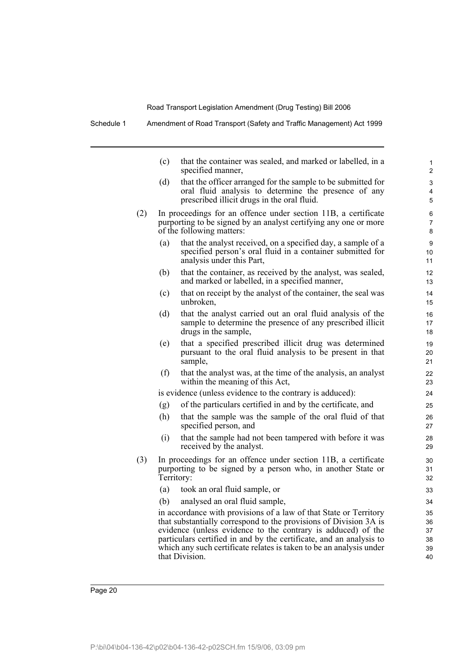Schedule 1 Amendment of Road Transport (Safety and Traffic Management) Act 1999

(c) that the container was sealed, and marked or labelled, in a specified manner, (d) that the officer arranged for the sample to be submitted for oral fluid analysis to determine the presence of any prescribed illicit drugs in the oral fluid. (2) In proceedings for an offence under section 11B, a certificate purporting to be signed by an analyst certifying any one or more of the following matters: (a) that the analyst received, on a specified day, a sample of a specified person's oral fluid in a container submitted for analysis under this Part, (b) that the container, as received by the analyst, was sealed, and marked or labelled, in a specified manner, (c) that on receipt by the analyst of the container, the seal was unbroken, (d) that the analyst carried out an oral fluid analysis of the sample to determine the presence of any prescribed illicit drugs in the sample, (e) that a specified prescribed illicit drug was determined pursuant to the oral fluid analysis to be present in that sample, (f) that the analyst was, at the time of the analysis, an analyst within the meaning of this Act, is evidence (unless evidence to the contrary is adduced): (g) of the particulars certified in and by the certificate, and (h) that the sample was the sample of the oral fluid of that specified person, and (i) that the sample had not been tampered with before it was received by the analyst. (3) In proceedings for an offence under section 11B, a certificate purporting to be signed by a person who, in another State or Territory: (a) took an oral fluid sample, or (b) analysed an oral fluid sample, in accordance with provisions of a law of that State or Territory that substantially correspond to the provisions of Division 3A is evidence (unless evidence to the contrary is adduced) of the particulars certified in and by the certificate, and an analysis to which any such certificate relates is taken to be an analysis under that Division. 1 2 3 4 5 6 7 8  $\alpha$  $10$ 11 12 13 14 15 16 17 18 19  $20$ 21 22 23  $24$ 25 26 27 28 29 30 31 32 33 34 35 36 37 38 39 40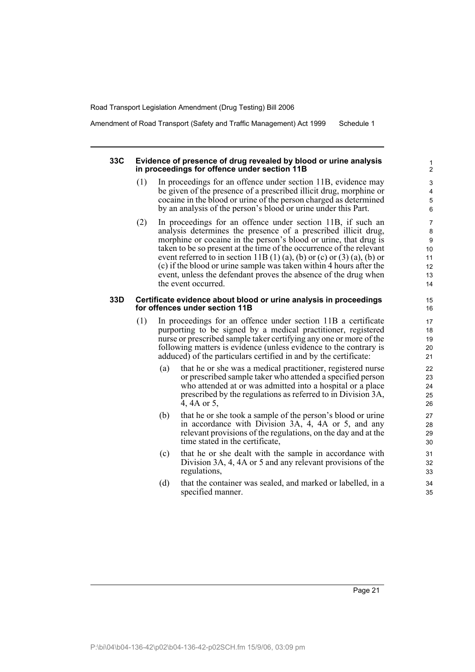Amendment of Road Transport (Safety and Traffic Management) Act 1999 Schedule 1

#### **33C Evidence of presence of drug revealed by blood or urine analysis in proceedings for offence under section 11B**

- (1) In proceedings for an offence under section 11B, evidence may be given of the presence of a prescribed illicit drug, morphine or cocaine in the blood or urine of the person charged as determined by an analysis of the person's blood or urine under this Part.
- (2) In proceedings for an offence under section 11B, if such an analysis determines the presence of a prescribed illicit drug, morphine or cocaine in the person's blood or urine, that drug is taken to be so present at the time of the occurrence of the relevant event referred to in section  $11B(1)(a)$ , (b) or (c) or (3) (a), (b) or (c) if the blood or urine sample was taken within 4 hours after the event, unless the defendant proves the absence of the drug when the event occurred.

#### **33D Certificate evidence about blood or urine analysis in proceedings for offences under section 11B**

- (1) In proceedings for an offence under section 11B a certificate purporting to be signed by a medical practitioner, registered nurse or prescribed sample taker certifying any one or more of the following matters is evidence (unless evidence to the contrary is adduced) of the particulars certified in and by the certificate:
	- (a) that he or she was a medical practitioner, registered nurse or prescribed sample taker who attended a specified person who attended at or was admitted into a hospital or a place prescribed by the regulations as referred to in Division 3A, 4, 4A or 5,
	- (b) that he or she took a sample of the person's blood or urine in accordance with Division 3A, 4, 4A or 5, and any relevant provisions of the regulations, on the day and at the time stated in the certificate,
	- (c) that he or she dealt with the sample in accordance with Division 3A, 4, 4A or 5 and any relevant provisions of the regulations,
	- (d) that the container was sealed, and marked or labelled, in a specified manner.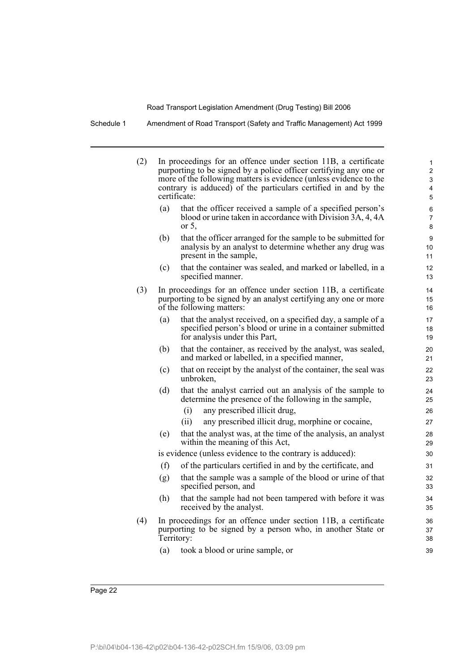Schedule 1 Amendment of Road Transport (Safety and Traffic Management) Act 1999

(2) In proceedings for an offence under section 11B, a certificate purporting to be signed by a police officer certifying any one or more of the following matters is evidence (unless evidence to the contrary is adduced) of the particulars certified in and by the certificate: (a) that the officer received a sample of a specified person's blood or urine taken in accordance with Division 3A, 4, 4A or 5, (b) that the officer arranged for the sample to be submitted for analysis by an analyst to determine whether any drug was present in the sample, (c) that the container was sealed, and marked or labelled, in a specified manner. (3) In proceedings for an offence under section 11B, a certificate purporting to be signed by an analyst certifying any one or more of the following matters: (a) that the analyst received, on a specified day, a sample of a specified person's blood or urine in a container submitted for analysis under this Part, (b) that the container, as received by the analyst, was sealed, and marked or labelled, in a specified manner, (c) that on receipt by the analyst of the container, the seal was unbroken, (d) that the analyst carried out an analysis of the sample to determine the presence of the following in the sample, (i) any prescribed illicit drug, (ii) any prescribed illicit drug, morphine or cocaine, (e) that the analyst was, at the time of the analysis, an analyst within the meaning of this Act, is evidence (unless evidence to the contrary is adduced): (f) of the particulars certified in and by the certificate, and (g) that the sample was a sample of the blood or urine of that specified person, and (h) that the sample had not been tampered with before it was received by the analyst. (4) In proceedings for an offence under section 11B, a certificate purporting to be signed by a person who, in another State or Territory: (a) took a blood or urine sample, or 1 2 3 4 5 6 7 8  $\alpha$ 10 11 12 13 14 15 16 17 18 19 20 21 22 23  $24$ 25 26 27  $28$ 29 30 31 32 33 34 35 36 37 38 39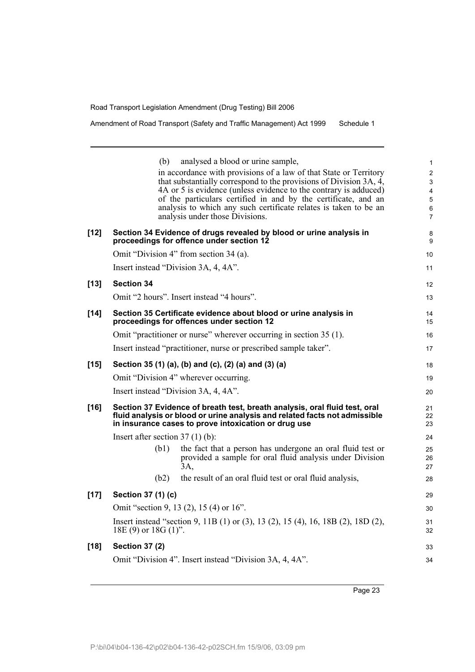Amendment of Road Transport (Safety and Traffic Management) Act 1999 Schedule 1

|        | analysed a blood or urine sample,<br>(b)<br>in accordance with provisions of a law of that State or Territory<br>that substantially correspond to the provisions of Division 3A, 4,<br>4A or 5 is evidence (unless evidence to the contrary is adduced)<br>of the particulars certified in and by the certificate, and an<br>analysis to which any such certificate relates is taken to be an<br>analysis under those Divisions. | 1<br>$\overline{\mathbf{c}}$<br>3<br>4<br>5<br>6<br>7 |
|--------|----------------------------------------------------------------------------------------------------------------------------------------------------------------------------------------------------------------------------------------------------------------------------------------------------------------------------------------------------------------------------------------------------------------------------------|-------------------------------------------------------|
| $[12]$ | Section 34 Evidence of drugs revealed by blood or urine analysis in<br>proceedings for offence under section 12                                                                                                                                                                                                                                                                                                                  | 8<br>9                                                |
|        | Omit "Division 4" from section 34 (a).                                                                                                                                                                                                                                                                                                                                                                                           | 10                                                    |
|        | Insert instead "Division 3A, 4, 4A".                                                                                                                                                                                                                                                                                                                                                                                             | 11                                                    |
| $[13]$ | <b>Section 34</b>                                                                                                                                                                                                                                                                                                                                                                                                                | 12                                                    |
|        | Omit "2 hours". Insert instead "4 hours".                                                                                                                                                                                                                                                                                                                                                                                        | 13                                                    |
| $[14]$ | Section 35 Certificate evidence about blood or urine analysis in<br>proceedings for offences under section 12                                                                                                                                                                                                                                                                                                                    | 14<br>15                                              |
|        | Omit "practitioner or nurse" wherever occurring in section 35 (1).                                                                                                                                                                                                                                                                                                                                                               | 16                                                    |
|        | Insert instead "practitioner, nurse or prescribed sample taker".                                                                                                                                                                                                                                                                                                                                                                 | 17                                                    |
| $[15]$ | Section 35 (1) (a), (b) and (c), (2) (a) and (3) (a)                                                                                                                                                                                                                                                                                                                                                                             | 18                                                    |
|        | Omit "Division 4" wherever occurring.                                                                                                                                                                                                                                                                                                                                                                                            | 19                                                    |
|        | Insert instead "Division 3A, 4, 4A".                                                                                                                                                                                                                                                                                                                                                                                             | 20                                                    |
| $[16]$ | Section 37 Evidence of breath test, breath analysis, oral fluid test, oral<br>fluid analysis or blood or urine analysis and related facts not admissible<br>in insurance cases to prove intoxication or drug use                                                                                                                                                                                                                 | 21<br>22<br>23                                        |
|        | Insert after section $37(1)(b)$ :                                                                                                                                                                                                                                                                                                                                                                                                | 24                                                    |
|        | (b1)<br>the fact that a person has undergone an oral fluid test or<br>provided a sample for oral fluid analysis under Division<br>3A,                                                                                                                                                                                                                                                                                            | 25<br>26<br>27                                        |
|        | the result of an oral fluid test or oral fluid analysis,<br>(b2)                                                                                                                                                                                                                                                                                                                                                                 | 28                                                    |
| $[17]$ | Section 37 (1) (c)                                                                                                                                                                                                                                                                                                                                                                                                               | 29                                                    |
|        | Omit "section 9, 13 (2), 15 (4) or 16".                                                                                                                                                                                                                                                                                                                                                                                          | 30                                                    |
|        | Insert instead "section 9, 11B (1) or (3), 13 (2), 15 (4), 16, 18B (2), 18D (2),<br>18E (9) or $18G(1)$ ".                                                                                                                                                                                                                                                                                                                       | 31<br>32                                              |
| $[18]$ | <b>Section 37 (2)</b>                                                                                                                                                                                                                                                                                                                                                                                                            | 33                                                    |
|        | Omit "Division 4". Insert instead "Division 3A, 4, 4A".                                                                                                                                                                                                                                                                                                                                                                          | 34                                                    |
|        |                                                                                                                                                                                                                                                                                                                                                                                                                                  |                                                       |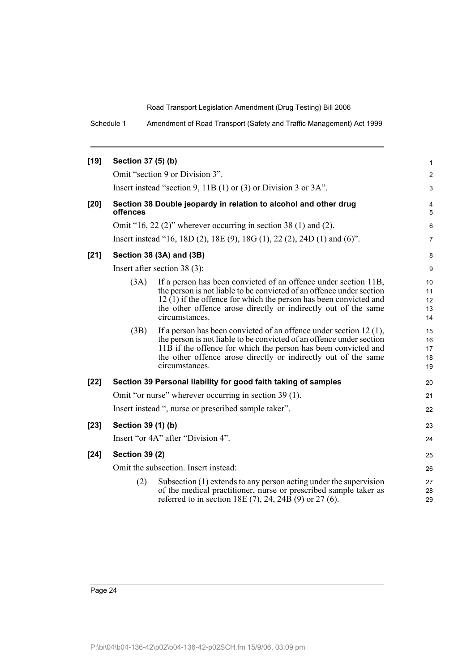Schedule 1 Amendment of Road Transport (Safety and Traffic Management) Act 1999

| $[19]$ | Section 37 (5) (b)    |                                                                                                                                                                                                                                                                                                    | 1                          |
|--------|-----------------------|----------------------------------------------------------------------------------------------------------------------------------------------------------------------------------------------------------------------------------------------------------------------------------------------------|----------------------------|
|        |                       | Omit "section 9 or Division 3".                                                                                                                                                                                                                                                                    | $\overline{\mathbf{c}}$    |
|        |                       | Insert instead "section 9, $11B(1)$ or (3) or Division 3 or 3A".                                                                                                                                                                                                                                   | 3                          |
| $[20]$ | offences              | Section 38 Double jeopardy in relation to alcohol and other drug                                                                                                                                                                                                                                   | 4<br>5                     |
|        |                       | Omit "16, 22 $(2)$ " wherever occurring in section 38 $(1)$ and $(2)$ .                                                                                                                                                                                                                            | 6                          |
|        |                       | Insert instead "16, 18D (2), 18E (9), 18G (1), 22 (2), 24D (1) and (6)".                                                                                                                                                                                                                           | 7                          |
| $[21]$ |                       | Section 38 (3A) and (3B)                                                                                                                                                                                                                                                                           | 8                          |
|        |                       | Insert after section $38(3)$ :                                                                                                                                                                                                                                                                     | 9                          |
|        | (3A)                  | If a person has been convicted of an offence under section 11B,<br>the person is not liable to be convicted of an offence under section<br>12(1) if the offence for which the person has been convicted and<br>the other offence arose directly or indirectly out of the same<br>circumstances.    | 10<br>11<br>12<br>13<br>14 |
|        | (3B)                  | If a person has been convicted of an offence under section $12(1)$ ,<br>the person is not liable to be convicted of an offence under section<br>11B if the offence for which the person has been convicted and<br>the other offence arose directly or indirectly out of the same<br>circumstances. | 15<br>16<br>17<br>18<br>19 |
| $[22]$ |                       | Section 39 Personal liability for good faith taking of samples                                                                                                                                                                                                                                     | 20                         |
|        |                       | Omit "or nurse" wherever occurring in section 39 (1).                                                                                                                                                                                                                                              | 21                         |
|        |                       | Insert instead ", nurse or prescribed sample taker".                                                                                                                                                                                                                                               | 22                         |
| $[23]$ | Section 39 (1) (b)    |                                                                                                                                                                                                                                                                                                    | 23                         |
|        |                       | Insert "or 4A" after "Division 4".                                                                                                                                                                                                                                                                 | 24                         |
| $[24]$ | <b>Section 39 (2)</b> |                                                                                                                                                                                                                                                                                                    | 25                         |
|        |                       | Omit the subsection. Insert instead:                                                                                                                                                                                                                                                               | 26                         |
|        | (2)                   | Subsection $(1)$ extends to any person acting under the supervision<br>of the medical practitioner, nurse or prescribed sample taker as<br>referred to in section 18E $(7)$ , 24, 24B $(9)$ or 27 $(6)$ .                                                                                          | 27<br>28<br>29             |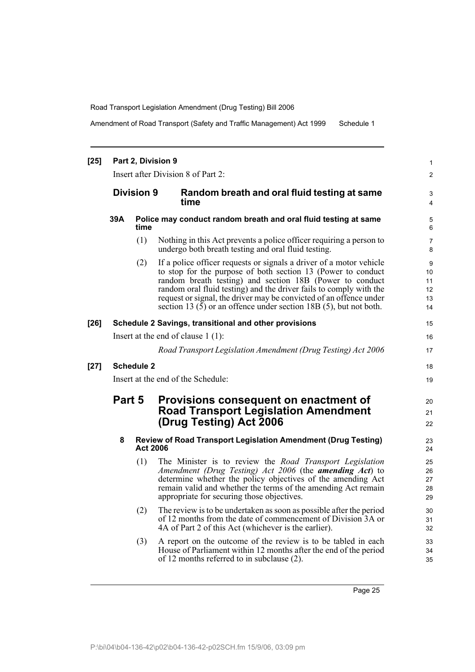Amendment of Road Transport (Safety and Traffic Management) Act 1999 Schedule 1

## **[25] Part 2, Division 9** Insert after Division 8 of Part 2: **Division 9 Random breath and oral fluid testing at same time 39A Police may conduct random breath and oral fluid testing at same time** (1) Nothing in this Act prevents a police officer requiring a person to undergo both breath testing and oral fluid testing. (2) If a police officer requests or signals a driver of a motor vehicle to stop for the purpose of both section 13 (Power to conduct random breath testing) and section 18B (Power to conduct random oral fluid testing) and the driver fails to comply with the request or signal, the driver may be convicted of an offence under section 13  $(5)$  or an offence under section 18B  $(5)$ , but not both. **[26] Schedule 2 Savings, transitional and other provisions** Insert at the end of clause 1 (1): *Road Transport Legislation Amendment (Drug Testing) Act 2006* **[27] Schedule 2** Insert at the end of the Schedule: **Part 5 Provisions consequent on enactment of Road Transport Legislation Amendment (Drug Testing) Act 2006 8 Review of Road Transport Legislation Amendment (Drug Testing) Act 2006** (1) The Minister is to review the *Road Transport Legislation Amendment (Drug Testing) Act 2006* (the *amending Act*) to determine whether the policy objectives of the amending Act remain valid and whether the terms of the amending Act remain appropriate for securing those objectives. (2) The review is to be undertaken as soon as possible after the period of 12 months from the date of commencement of Division 3A or 4A of Part 2 of this Act (whichever is the earlier). (3) A report on the outcome of the review is to be tabled in each

House of Parliament within 12 months after the end of the period

of 12 months referred to in subclause (2).

Page 25

1  $\mathfrak{p}$ 

15 16 17

18 19

20 21 22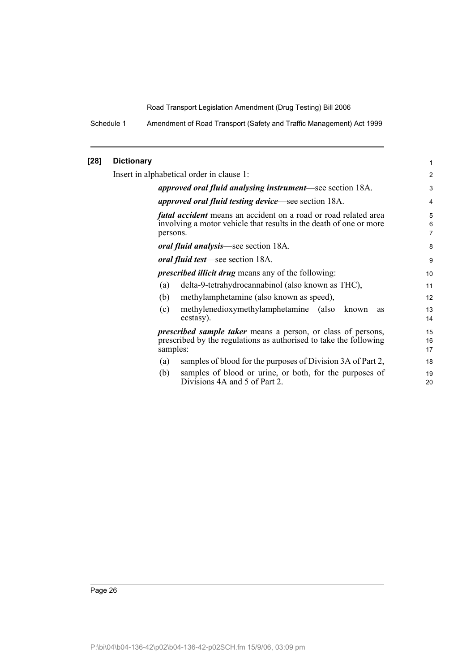Schedule 1 Amendment of Road Transport (Safety and Traffic Management) Act 1999

### **[28] Dictionary**

|     | Insert in alphabetical order in clause 1:                                                                                                                | $\overline{2}$ |
|-----|----------------------------------------------------------------------------------------------------------------------------------------------------------|----------------|
|     | <i>approved oral fluid analysing instrument—see section 18A.</i>                                                                                         | 3              |
|     | <i>approved oral fluid testing device</i> —see section 18A.                                                                                              | 4              |
|     | <i>fatal accident</i> means an accident on a road or road related area<br>involving a motor vehicle that results in the death of one or more<br>persons. | 5<br>6<br>7    |
|     | <i>oral fluid analysis</i> —see section 18A.                                                                                                             | 8              |
|     | <i>oral fluid test</i> —see section 18A.                                                                                                                 | 9              |
|     | <i>prescribed illicit drug</i> means any of the following:                                                                                               | 10             |
| (a) | delta-9-tetrahydrocannabinol (also known as THC),                                                                                                        | 11             |
| (b) | methylamphetamine (also known as speed),                                                                                                                 | 12             |
| (c) | methylenedioxymethylamphetamine (also<br>known<br>as<br>ecstasy).                                                                                        | 13<br>14       |
|     | <i>prescribed sample taker</i> means a person, or class of persons,<br>prescribed by the regulations as authorised to take the following<br>samples:     | 15<br>16<br>17 |
| (a) | samples of blood for the purposes of Division 3A of Part 2,                                                                                              | 18             |
| (b) | samples of blood or urine, or both, for the purposes of<br>Divisions 4A and 5 of Part 2.                                                                 | 19<br>20       |
|     |                                                                                                                                                          |                |

1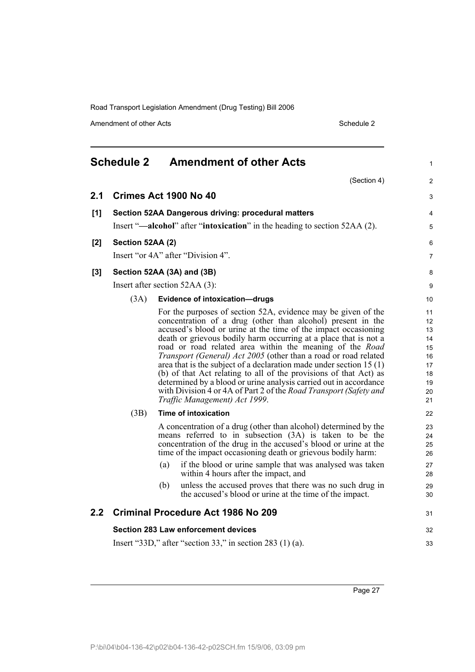Amendment of other Acts Schedule 2

<span id="page-38-0"></span>

| <b>Schedule 2</b><br><b>Amendment of other Acts</b> |                                                                                                                                  | $\mathbf{1}$                                                                                                                                                                                                                                                                                                                                                                                                                                                                                                                                                                                                                                                                                                                            |                                                                                                                     |                                                                |  |  |
|-----------------------------------------------------|----------------------------------------------------------------------------------------------------------------------------------|-----------------------------------------------------------------------------------------------------------------------------------------------------------------------------------------------------------------------------------------------------------------------------------------------------------------------------------------------------------------------------------------------------------------------------------------------------------------------------------------------------------------------------------------------------------------------------------------------------------------------------------------------------------------------------------------------------------------------------------------|---------------------------------------------------------------------------------------------------------------------|----------------------------------------------------------------|--|--|
|                                                     |                                                                                                                                  |                                                                                                                                                                                                                                                                                                                                                                                                                                                                                                                                                                                                                                                                                                                                         | (Section 4)                                                                                                         | $\overline{c}$                                                 |  |  |
| 2.1                                                 | Crimes Act 1900 No 40                                                                                                            |                                                                                                                                                                                                                                                                                                                                                                                                                                                                                                                                                                                                                                                                                                                                         |                                                                                                                     |                                                                |  |  |
| [1]                                                 | Section 52AA Dangerous driving: procedural matters<br>Insert "—alcohol" after "intoxication" in the heading to section 52AA (2). |                                                                                                                                                                                                                                                                                                                                                                                                                                                                                                                                                                                                                                                                                                                                         |                                                                                                                     | 4<br>5                                                         |  |  |
| [2]                                                 | Section 52AA (2)                                                                                                                 |                                                                                                                                                                                                                                                                                                                                                                                                                                                                                                                                                                                                                                                                                                                                         |                                                                                                                     | 6                                                              |  |  |
|                                                     |                                                                                                                                  |                                                                                                                                                                                                                                                                                                                                                                                                                                                                                                                                                                                                                                                                                                                                         | Insert "or 4A" after "Division 4".                                                                                  | 7                                                              |  |  |
| $[3]$                                               |                                                                                                                                  |                                                                                                                                                                                                                                                                                                                                                                                                                                                                                                                                                                                                                                                                                                                                         | Section 52AA (3A) and (3B)                                                                                          | 8                                                              |  |  |
|                                                     | Insert after section $52AA(3)$ :                                                                                                 |                                                                                                                                                                                                                                                                                                                                                                                                                                                                                                                                                                                                                                                                                                                                         | 9                                                                                                                   |                                                                |  |  |
|                                                     | (3A)                                                                                                                             |                                                                                                                                                                                                                                                                                                                                                                                                                                                                                                                                                                                                                                                                                                                                         | Evidence of intoxication-drugs                                                                                      | 10                                                             |  |  |
|                                                     |                                                                                                                                  | For the purposes of section 52A, evidence may be given of the<br>concentration of a drug (other than alcohol) present in the<br>accused's blood or urine at the time of the impact occasioning<br>death or grievous bodily harm occurring at a place that is not a<br>road or road related area within the meaning of the Road<br><i>Transport (General) Act 2005</i> (other than a road or road related<br>area that is the subject of a declaration made under section $15(1)$<br>(b) of that Act relating to all of the provisions of that Act) as<br>determined by a blood or urine analysis carried out in accordance<br>with Division 4 or 4A of Part 2 of the <i>Road Transport (Safety and</i><br>Traffic Management) Act 1999. |                                                                                                                     | 11<br>12<br>13<br>14<br>15<br>16<br>17<br>18<br>19<br>20<br>21 |  |  |
|                                                     | (3B)                                                                                                                             |                                                                                                                                                                                                                                                                                                                                                                                                                                                                                                                                                                                                                                                                                                                                         | <b>Time of intoxication</b>                                                                                         | 22                                                             |  |  |
|                                                     |                                                                                                                                  | A concentration of a drug (other than alcohol) determined by the<br>means referred to in subsection (3A) is taken to be the<br>concentration of the drug in the accused's blood or urine at the<br>time of the impact occasioning death or grievous bodily harm:                                                                                                                                                                                                                                                                                                                                                                                                                                                                        |                                                                                                                     | 23<br>24<br>25<br>26                                           |  |  |
|                                                     |                                                                                                                                  | (a)                                                                                                                                                                                                                                                                                                                                                                                                                                                                                                                                                                                                                                                                                                                                     | if the blood or urine sample that was analysed was taken<br>within 4 hours after the impact, and                    | 27<br>28                                                       |  |  |
|                                                     |                                                                                                                                  | (b)                                                                                                                                                                                                                                                                                                                                                                                                                                                                                                                                                                                                                                                                                                                                     | unless the accused proves that there was no such drug in<br>the accused's blood or urine at the time of the impact. | 29<br>30                                                       |  |  |
| 2.2                                                 |                                                                                                                                  |                                                                                                                                                                                                                                                                                                                                                                                                                                                                                                                                                                                                                                                                                                                                         | <b>Criminal Procedure Act 1986 No 209</b>                                                                           | 31                                                             |  |  |
|                                                     | <b>Section 283 Law enforcement devices</b>                                                                                       |                                                                                                                                                                                                                                                                                                                                                                                                                                                                                                                                                                                                                                                                                                                                         |                                                                                                                     |                                                                |  |  |
|                                                     | Insert "33D," after "section 33," in section 283 $(1)$ (a).                                                                      |                                                                                                                                                                                                                                                                                                                                                                                                                                                                                                                                                                                                                                                                                                                                         |                                                                                                                     | 33                                                             |  |  |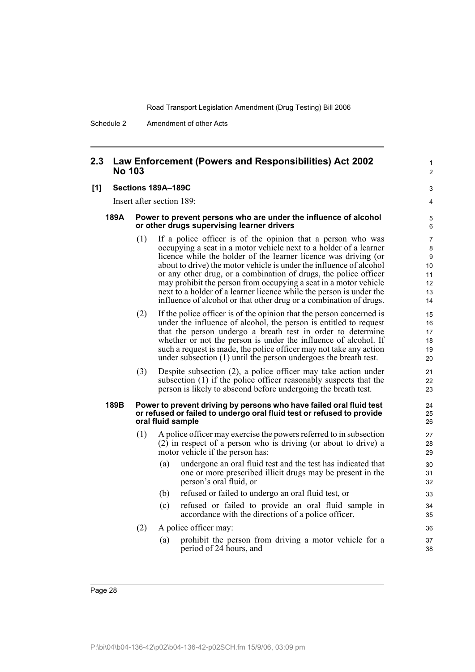#### **2.3 Law Enforcement (Powers and Responsibilities) Act 2002 No 103**

#### **[1] Sections 189A–189C**

Insert after section 189:

#### **189A Power to prevent persons who are under the influence of alcohol or other drugs supervising learner drivers**

(1) If a police officer is of the opinion that a person who was occupying a seat in a motor vehicle next to a holder of a learner licence while the holder of the learner licence was driving (or about to drive) the motor vehicle is under the influence of alcohol or any other drug, or a combination of drugs, the police officer may prohibit the person from occupying a seat in a motor vehicle next to a holder of a learner licence while the person is under the influence of alcohol or that other drug or a combination of drugs.

1  $\overline{2}$ 

> 3 4

- (2) If the police officer is of the opinion that the person concerned is under the influence of alcohol, the person is entitled to request that the person undergo a breath test in order to determine whether or not the person is under the influence of alcohol. If such a request is made, the police officer may not take any action under subsection (1) until the person undergoes the breath test.
- (3) Despite subsection (2), a police officer may take action under subsection (1) if the police officer reasonably suspects that the person is likely to abscond before undergoing the breath test.

#### **189B Power to prevent driving by persons who have failed oral fluid test or refused or failed to undergo oral fluid test or refused to provide oral fluid sample**

- (1) A police officer may exercise the powers referred to in subsection (2) in respect of a person who is driving (or about to drive) a motor vehicle if the person has:
	- (a) undergone an oral fluid test and the test has indicated that one or more prescribed illicit drugs may be present in the person's oral fluid, or
	- (b) refused or failed to undergo an oral fluid test, or
	- (c) refused or failed to provide an oral fluid sample in accordance with the directions of a police officer.
- (2) A police officer may:
	- (a) prohibit the person from driving a motor vehicle for a period of 24 hours, and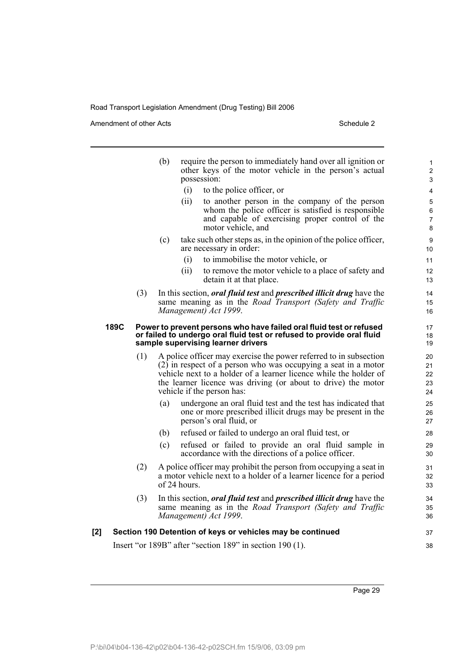Amendment of other Acts Schedule 2

|      |     | (b)<br>require the person to immediately hand over all ignition or<br>other keys of the motor vehicle in the person's actual<br>possession:                                                                                                                                                               | 1<br>$\overline{2}$<br>3   |
|------|-----|-----------------------------------------------------------------------------------------------------------------------------------------------------------------------------------------------------------------------------------------------------------------------------------------------------------|----------------------------|
|      |     | (i)<br>to the police officer, or                                                                                                                                                                                                                                                                          | 4                          |
|      |     | (ii)<br>to another person in the company of the person<br>whom the police officer is satisfied is responsible<br>and capable of exercising proper control of the<br>motor vehicle, and                                                                                                                    | 5<br>6<br>7<br>8           |
|      |     | take such other steps as, in the opinion of the police officer,<br>(c)<br>are necessary in order:                                                                                                                                                                                                         | 9<br>10                    |
|      |     | to immobilise the motor vehicle, or<br>(i)                                                                                                                                                                                                                                                                | 11                         |
|      |     | (ii)<br>to remove the motor vehicle to a place of safety and<br>detain it at that place.                                                                                                                                                                                                                  | 12<br>13                   |
|      | (3) | In this section, <i>oral fluid test</i> and <i>prescribed illicit drug</i> have the<br>same meaning as in the Road Transport (Safety and Traffic<br>Management) Act 1999.                                                                                                                                 | 14<br>15<br>16             |
| 189C |     | Power to prevent persons who have failed oral fluid test or refused<br>or failed to undergo oral fluid test or refused to provide oral fluid<br>sample supervising learner drivers                                                                                                                        | 17<br>18<br>19             |
|      | (1) | A police officer may exercise the power referred to in subsection<br>$(2)$ in respect of a person who was occupying a seat in a motor<br>vehicle next to a holder of a learner licence while the holder of<br>the learner licence was driving (or about to drive) the motor<br>vehicle if the person has: | 20<br>21<br>22<br>23<br>24 |
|      |     | (a)<br>undergone an oral fluid test and the test has indicated that<br>one or more prescribed illicit drugs may be present in the<br>person's oral fluid, or                                                                                                                                              | 25<br>26<br>27             |
|      |     | (b)<br>refused or failed to undergo an oral fluid test, or                                                                                                                                                                                                                                                | 28                         |
|      |     | refused or failed to provide an oral fluid sample in<br>(c)<br>accordance with the directions of a police officer.                                                                                                                                                                                        | 29<br>30                   |
|      | (2) | A police officer may prohibit the person from occupying a seat in<br>a motor vehicle next to a holder of a learner licence for a period<br>of 24 hours.                                                                                                                                                   | 31<br>32<br>33             |
|      | (3) | In this section, <i>oral fluid test</i> and <i>prescribed illicit drug</i> have the<br>same meaning as in the Road Transport (Safety and Traffic<br>Management) Act 1999.                                                                                                                                 | 34<br>35<br>36             |
| [2]  |     | Section 190 Detention of keys or vehicles may be continued                                                                                                                                                                                                                                                | 37                         |
|      |     | Insert "or 189B" after "section 189" in section 190 (1).                                                                                                                                                                                                                                                  | 38                         |
|      |     |                                                                                                                                                                                                                                                                                                           |                            |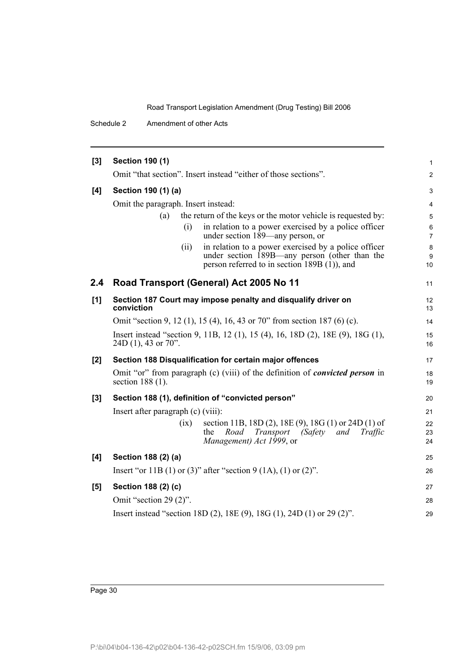Schedule 2 Amendment of other Acts

| [3] | <b>Section 190 (1)</b>                                                                                                                                           | $\mathbf{1}$              |  |  |
|-----|------------------------------------------------------------------------------------------------------------------------------------------------------------------|---------------------------|--|--|
|     | Omit "that section". Insert instead "either of those sections".                                                                                                  |                           |  |  |
| [4] | Section 190 (1) (a)                                                                                                                                              | $\ensuremath{\mathsf{3}}$ |  |  |
|     | Omit the paragraph. Insert instead:                                                                                                                              |                           |  |  |
|     | the return of the keys or the motor vehicle is requested by:<br>(a)                                                                                              | 5                         |  |  |
|     | in relation to a power exercised by a police officer<br>(i)<br>under section $189$ —any person, or                                                               | 6<br>$\overline{7}$       |  |  |
|     | in relation to a power exercised by a police officer<br>(ii)<br>under section 189B—any person (other than the<br>person referred to in section 189B $(1)$ ), and | $\bf 8$<br>9<br>10        |  |  |
| 2.4 | Road Transport (General) Act 2005 No 11                                                                                                                          | 11                        |  |  |
| [1] | Section 187 Court may impose penalty and disqualify driver on<br>conviction                                                                                      | 12<br>13                  |  |  |
|     | Omit "section 9, 12 (1), 15 (4), 16, 43 or 70" from section 187 (6) (c).                                                                                         | 14                        |  |  |
|     | Insert instead "section 9, 11B, 12 (1), 15 (4), 16, 18D (2), 18E (9), 18G (1),<br>$24D(1)$ , 43 or 70".                                                          | 15<br>16                  |  |  |
| [2] | Section 188 Disqualification for certain major offences                                                                                                          | 17                        |  |  |
|     | Omit "or" from paragraph (c) (viii) of the definition of <i>convicted person</i> in<br>section 188 (1).                                                          | 18<br>19                  |  |  |
| [3] | Section 188 (1), definition of "convicted person"                                                                                                                | 20                        |  |  |
|     | Insert after paragraph (c) (viii):                                                                                                                               | 21                        |  |  |
|     | section 11B, 18D (2), 18E (9), 18G (1) or 24D (1) of<br>(ix)<br>(Safety)<br>the<br>Road<br>Transport<br>Traffic<br>and<br>Management) Act 1999, or               | 22<br>23<br>24            |  |  |
| [4] | Section 188 (2) (a)                                                                                                                                              | 25                        |  |  |
|     | Insert "or 11B (1) or (3)" after "section 9 (1A), (1) or (2)".                                                                                                   | 26                        |  |  |
| [5] | Section 188 (2) (c)                                                                                                                                              | 27                        |  |  |
|     | Omit "section 29 (2)".                                                                                                                                           | 28                        |  |  |
|     | Insert instead "section 18D (2), 18E (9), 18G (1), 24D (1) or 29 (2)".                                                                                           | 29                        |  |  |